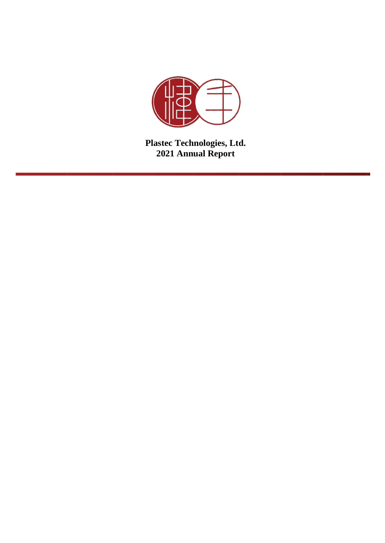

**Plastec Technologies, Ltd. 2021 Annual Report**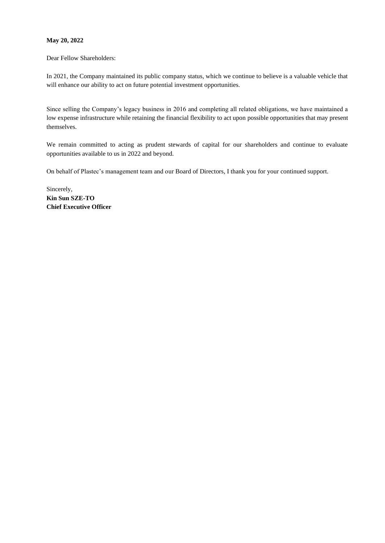# **May 20, 2022**

Dear Fellow Shareholders:

In 2021, the Company maintained its public company status, which we continue to believe is a valuable vehicle that will enhance our ability to act on future potential investment opportunities.

Since selling the Company's legacy business in 2016 and completing all related obligations, we have maintained a low expense infrastructure while retaining the financial flexibility to act upon possible opportunities that may present themselves.

We remain committed to acting as prudent stewards of capital for our shareholders and continue to evaluate opportunities available to us in 2022 and beyond.

On behalf of Plastec's management team and our Board of Directors, I thank you for your continued support.

Sincerely, **Kin Sun SZE-TO Chief Executive Officer**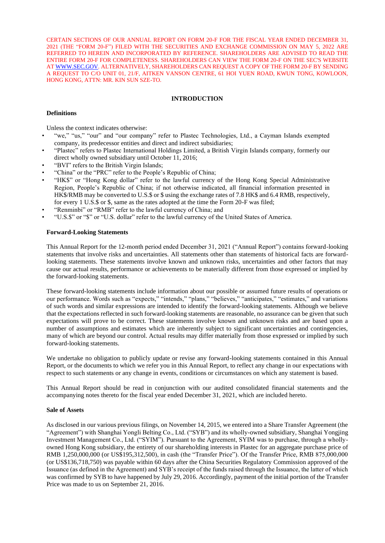CERTAIN SECTIONS OF OUR ANNUAL REPORT ON FORM 20-F FOR THE FISCAL YEAR ENDED DECEMBER 31, 2021 (THE "FORM 20-F") FILED WITH THE SECURITIES AND EXCHANGE COMMISSION ON MAY 5, 2022 ARE REFERRED TO HEREIN AND INCORPORATED BY REFERENCE. SHAREHOLDERS ARE ADVISED TO READ THE ENTIRE FORM 20-F FOR COMPLETENESS. SHAREHOLDERS CAN VIEW THE FORM 20-F ON THE SEC'S WEBSITE A[T WWW.SEC.GOV.](http://www.sec.gov/) ALTERNATIVELY, SHAREHOLDERS CAN REQUEST A COPY OF THE FORM 20-F BY SENDING A REQUEST TO C/O UNIT 01, 21/F, AITKEN VANSON CENTRE, 61 HOI YUEN ROAD, KWUN TONG, KOWLOON, HONG KONG, ATTN: MR. KIN SUN SZE-TO.

# **INTRODUCTION**

### **Definitions**

Unless the context indicates otherwise:

- "we," "us," "our" and "our company" refer to Plastec Technologies, Ltd., a Cayman Islands exempted company, its predecessor entities and direct and indirect subsidiaries;
- "Plastec" refers to Plastec International Holdings Limited, a British Virgin Islands company, formerly our direct wholly owned subsidiary until October 11, 2016;
- "BVI" refers to the British Virgin Islands;
- "China" or the "PRC" refer to the People's Republic of China;
- "HK\$" or "Hong Kong dollar" refer to the lawful currency of the Hong Kong Special Administrative Region, People's Republic of China; if not otherwise indicated, all financial information presented in HK\$/RMB may be converted to U.S.\$ or \$ using the exchange rates of 7.8 HK\$ and 6.4 RMB, respectively, for every 1 U.S.\$ or \$, same as the rates adopted at the time the Form 20-F was filed;
- "Renminbi" or "RMB" refer to the lawful currency of China; and
- "U.S.\$" or "\$" or "U.S. dollar" refer to the lawful currency of the United States of America.

### **Forward-Looking Statements**

This Annual Report for the 12-month period ended December 31, 2021 ("Annual Report") contains forward-looking statements that involve risks and uncertainties. All statements other than statements of historical facts are forwardlooking statements. These statements involve known and unknown risks, uncertainties and other factors that may cause our actual results, performance or achievements to be materially different from those expressed or implied by the forward-looking statements.

These forward-looking statements include information about our possible or assumed future results of operations or our performance. Words such as "expects," "intends," "plans," "believes," "anticipates," "estimates," and variations of such words and similar expressions are intended to identify the forward-looking statements. Although we believe that the expectations reflected in such forward-looking statements are reasonable, no assurance can be given that such expectations will prove to be correct. These statements involve known and unknown risks and are based upon a number of assumptions and estimates which are inherently subject to significant uncertainties and contingencies, many of which are beyond our control. Actual results may differ materially from those expressed or implied by such forward-looking statements.

We undertake no obligation to publicly update or revise any forward-looking statements contained in this Annual Report, or the documents to which we refer you in this Annual Report, to reflect any change in our expectations with respect to such statements or any change in events, conditions or circumstances on which any statement is based.

This Annual Report should be read in conjunction with our audited consolidated financial statements and the accompanying notes thereto for the fiscal year ended December 31, 2021, which are included hereto.

#### **Sale of Assets**

As disclosed in our various previous filings, on November 14, 2015, we entered into a Share Transfer Agreement (the "Agreement") with Shanghai Yongli Belting Co., Ltd. ("SYB") and its wholly-owned subsidiary, Shanghai Yongjing Investment Management Co., Ltd. ("SYIM"). Pursuant to the Agreement, SYIM was to purchase, through a whollyowned Hong Kong subsidiary, the entirety of our shareholding interests in Plastec for an aggregate purchase price of RMB 1,250,000,000 (or US\$195,312,500), in cash (the "Transfer Price"). Of the Transfer Price, RMB 875,000,000 (or US\$136,718,750) was payable within 60 days after the China Securities Regulatory Commission approved of the Issuance (as defined in the Agreement) and SYB's receipt of the funds raised through the Issuance, the latter of which was confirmed by SYB to have happened by July 29, 2016. Accordingly, payment of the initial portion of the Transfer Price was made to us on September 21, 2016.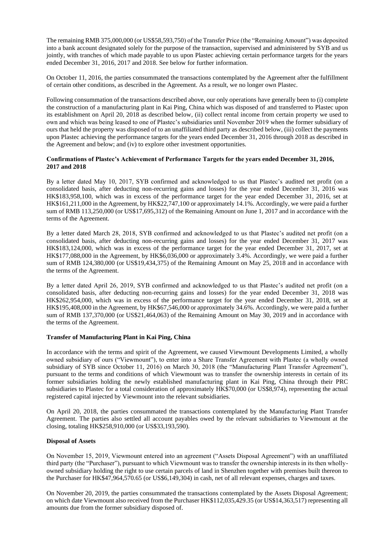The remaining RMB 375,000,000 (or US\$58,593,750) of the Transfer Price (the "Remaining Amount") was deposited into a bank account designated solely for the purpose of the transaction, supervised and administered by SYB and us jointly, with tranches of which made payable to us upon Plastec achieving certain performance targets for the years ended December 31, 2016, 2017 and 2018. See below for further information.

On October 11, 2016, the parties consummated the transactions contemplated by the Agreement after the fulfillment of certain other conditions, as described in the Agreement. As a result, we no longer own Plastec.

Following consummation of the transactions described above, our only operations have generally been to (i) complete the construction of a manufacturing plant in Kai Ping, China which was disposed of and transferred to Plastec upon its establishment on April 20, 2018 as described below, (ii) collect rental income from certain property we used to own and which was being leased to one of Plastec's subsidiaries until November 2019 when the former subsidiary of ours that held the property was disposed of to an unaffiliated third party as described below, (iii) collect the payments upon Plastec achieving the performance targets for the years ended December 31, 2016 through 2018 as described in the Agreement and below; and (iv) to explore other investment opportunities.

# **Confirmations of Plastec's Achievement of Performance Targets for the years ended December 31, 2016, 2017 and 2018**

By a letter dated May 10, 2017, SYB confirmed and acknowledged to us that Plastec's audited net profit (on a consolidated basis, after deducting non-recurring gains and losses) for the year ended December 31, 2016 was HK\$183,958,100, which was in excess of the performance target for the year ended December 31, 2016, set at HK\$161,211,000 in the Agreement, by HK\$22,747,100 or approximately 14.1%. Accordingly, we were paid a further sum of RMB 113,250,000 (or US\$17,695,312) of the Remaining Amount on June 1, 2017 and in accordance with the terms of the Agreement.

By a letter dated March 28, 2018, SYB confirmed and acknowledged to us that Plastec's audited net profit (on a consolidated basis, after deducting non-recurring gains and losses) for the year ended December 31, 2017 was HK\$183,124,000, which was in excess of the performance target for the year ended December 31, 2017, set at HK\$177,088,000 in the Agreement, by HK\$6,036,000 or approximately 3.4%. Accordingly, we were paid a further sum of RMB 124,380,000 (or US\$19,434,375) of the Remaining Amount on May 25, 2018 and in accordance with the terms of the Agreement.

By a letter dated April 26, 2019, SYB confirmed and acknowledged to us that Plastec's audited net profit (on a consolidated basis, after deducting non-recurring gains and losses) for the year ended December 31, 2018 was HK\$262,954,000, which was in excess of the performance target for the year ended December 31, 2018, set at HK\$195,408,000 in the Agreement, by HK\$67,546,000 or approximately 34.6%. Accordingly, we were paid a further sum of RMB 137,370,000 (or US\$21,464,063) of the Remaining Amount on May 30, 2019 and in accordance with the terms of the Agreement.

# **Transfer of Manufacturing Plant in Kai Ping, China**

In accordance with the terms and spirit of the Agreement, we caused Viewmount Developments Limited, a wholly owned subsidiary of ours ("Viewmount"), to enter into a Share Transfer Agreement with Plastec (a wholly owned subsidiary of SYB since October 11, 2016) on March 30, 2018 (the "Manufacturing Plant Transfer Agreement"), pursuant to the terms and conditions of which Viewmount was to transfer the ownership interests in certain of its former subsidiaries holding the newly established manufacturing plant in Kai Ping, China through their PRC subsidiaries to Plastec for a total consideration of approximately HK\$70,000 (or US\$8,974), representing the actual registered capital injected by Viewmount into the relevant subsidiaries.

On April 20, 2018, the parties consummated the transactions contemplated by the Manufacturing Plant Transfer Agreement. The parties also settled all account payables owed by the relevant subsidiaries to Viewmount at the closing, totaling HK\$258,910,000 (or US\$33,193,590).

# **Disposal of Assets**

On November 15, 2019, Viewmount entered into an agreement ("Assets Disposal Agreement") with an unaffiliated third party (the "Purchaser"), pursuant to which Viewmount was to transfer the ownership interests in its then whollyowned subsidiary holding the right to use certain parcels of land in Shenzhen together with premises built thereon to the Purchaser for HK\$47,964,570.65 (or US\$6,149,304) in cash, net of all relevant expenses, charges and taxes.

On November 20, 2019, the parties consummated the transactions contemplated by the Assets Disposal Agreement; on which date Viewmount also received from the Purchaser HK\$112,035,429.35 (or US\$14,363,517) representing all amounts due from the former subsidiary disposed of.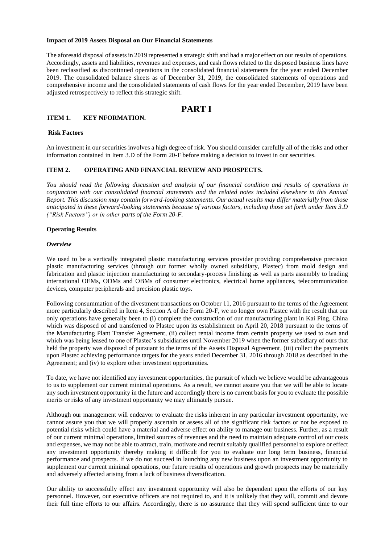### **Impact of 2019 Assets Disposal on Our Financial Statements**

The aforesaid disposal of assets in 2019 represented a strategic shift and had a major effect on our results of operations. Accordingly, assets and liabilities, revenues and expenses, and cash flows related to the disposed business lines have been reclassified as discontinued operations in the consolidated financial statements for the year ended December 2019. The consolidated balance sheets as of December 31, 2019, the consolidated statements of operations and comprehensive income and the consolidated statements of cash flows for the year ended December, 2019 have been adjusted retrospectively to reflect this strategic shift.

# **PART I**

## **ITEM 1. KEY NFORMATION.**

# **Risk Factors**

An investment in our securities involves a high degree of risk. You should consider carefully all of the risks and other information contained in Item 3.D of the Form 20-F before making a decision to invest in our securities.

### **ITEM 2. OPERATING AND FINANCIAL REVIEW AND PROSPECTS.**

*You should read the following discussion and analysis of our financial condition and results of operations in conjunction with our consolidated financial statements and the related notes included elsewhere in this Annual Report. This discussion may contain forward-looking statements. Our actual results may differ materially from those anticipated in these forward-looking statements because of various factors, including those set forth under Item 3.D ("Risk Factors") or in other parts of the Form 20-F.*

### **Operating Results**

### *Overview*

We used to be a vertically integrated plastic manufacturing services provider providing comprehensive precision plastic manufacturing services (through our former wholly owned subsidiary, Plastec) from mold design and fabrication and plastic injection manufacturing to secondary-process finishing as well as parts assembly to leading international OEMs, ODMs and OBMs of consumer electronics, electrical home appliances, telecommunication devices, computer peripherals and precision plastic toys.

Following consummation of the divestment transactions on October 11, 2016 pursuant to the terms of the Agreement more particularly described in Item 4, Section A of the Form 20-F, we no longer own Plastec with the result that our only operations have generally been to (i) complete the construction of our manufacturing plant in Kai Ping, China which was disposed of and transferred to Plastec upon its establishment on April 20, 2018 pursuant to the terms of the Manufacturing Plant Transfer Agreement, (ii) collect rental income from certain property we used to own and which was being leased to one of Plastec's subsidiaries until November 2019 when the former subsidiary of ours that held the property was disposed of pursuant to the terms of the Assets Disposal Agreement, (iii) collect the payments upon Plastec achieving performance targets for the years ended December 31, 2016 through 2018 as described in the Agreement; and (iv) to explore other investment opportunities.

To date, we have not identified any investment opportunities, the pursuit of which we believe would be advantageous to us to supplement our current minimal operations. As a result, we cannot assure you that we will be able to locate any such investment opportunity in the future and accordingly there is no current basis for you to evaluate the possible merits or risks of any investment opportunity we may ultimately pursue.

Although our management will endeavor to evaluate the risks inherent in any particular investment opportunity, we cannot assure you that we will properly ascertain or assess all of the significant risk factors or not be exposed to potential risks which could have a material and adverse effect on ability to manage our business. Further, as a result of our current minimal operations, limited sources of revenues and the need to maintain adequate control of our costs and expenses, we may not be able to attract, train, motivate and recruit suitably qualified personnel to explore or effect any investment opportunity thereby making it difficult for you to evaluate our long term business, financial performance and prospects. If we do not succeed in launching any new business upon an investment opportunity to supplement our current minimal operations, our future results of operations and growth prospects may be materially and adversely affected arising from a lack of business diversification.

Our ability to successfully effect any investment opportunity will also be dependent upon the efforts of our key personnel. However, our executive officers are not required to, and it is unlikely that they will, commit and devote their full time efforts to our affairs. Accordingly, there is no assurance that they will spend sufficient time to our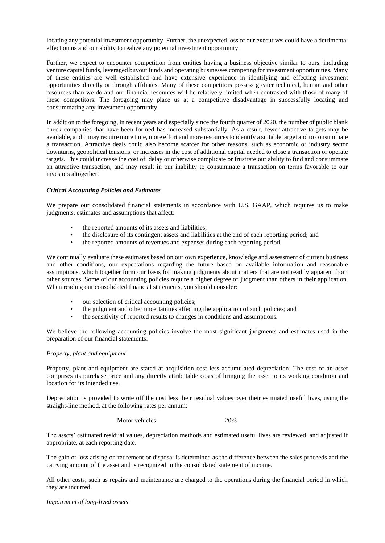locating any potential investment opportunity. Further, the unexpected loss of our executives could have a detrimental effect on us and our ability to realize any potential investment opportunity.

Further, we expect to encounter competition from entities having a business objective similar to ours, including venture capital funds, leveraged buyout funds and operating businesses competing for investment opportunities. Many of these entities are well established and have extensive experience in identifying and effecting investment opportunities directly or through affiliates. Many of these competitors possess greater technical, human and other resources than we do and our financial resources will be relatively limited when contrasted with those of many of these competitors. The foregoing may place us at a competitive disadvantage in successfully locating and consummating any investment opportunity.

In addition to the foregoing, in recent years and especially since the fourth quarter of 2020, the number of public blank check companies that have been formed has increased substantially. As a result, fewer attractive targets may be available, and it may require more time, more effort and more resources to identify a suitable target and to consummate a transaction. Attractive deals could also become scarcer for other reasons, such as economic or industry sector downturns, geopolitical tensions, or increases in the cost of additional capital needed to close a transaction or operate targets. This could increase the cost of, delay or otherwise complicate or frustrate our ability to find and consummate an attractive transaction, and may result in our inability to consummate a transaction on terms favorable to our investors altogether.

# *Critical Accounting Policies and Estimates*

We prepare our consolidated financial statements in accordance with U.S. GAAP, which requires us to make judgments, estimates and assumptions that affect:

- the reported amounts of its assets and liabilities;
- the disclosure of its contingent assets and liabilities at the end of each reporting period; and
- the reported amounts of revenues and expenses during each reporting period.

We continually evaluate these estimates based on our own experience, knowledge and assessment of current business and other conditions, our expectations regarding the future based on available information and reasonable assumptions, which together form our basis for making judgments about matters that are not readily apparent from other sources. Some of our accounting policies require a higher degree of judgment than others in their application. When reading our consolidated financial statements, you should consider:

- our selection of critical accounting policies;
- the judgment and other uncertainties affecting the application of such policies; and
- the sensitivity of reported results to changes in conditions and assumptions.

We believe the following accounting policies involve the most significant judgments and estimates used in the preparation of our financial statements:

# *Property, plant and equipment*

Property, plant and equipment are stated at acquisition cost less accumulated depreciation. The cost of an asset comprises its purchase price and any directly attributable costs of bringing the asset to its working condition and location for its intended use.

Depreciation is provided to write off the cost less their residual values over their estimated useful lives, using the straight-line method, at the following rates per annum:

Motor vehicles 20%

The assets' estimated residual values, depreciation methods and estimated useful lives are reviewed, and adjusted if appropriate, at each reporting date.

The gain or loss arising on retirement or disposal is determined as the difference between the sales proceeds and the carrying amount of the asset and is recognized in the consolidated statement of income.

All other costs, such as repairs and maintenance are charged to the operations during the financial period in which they are incurred.

*Impairment of long-lived assets*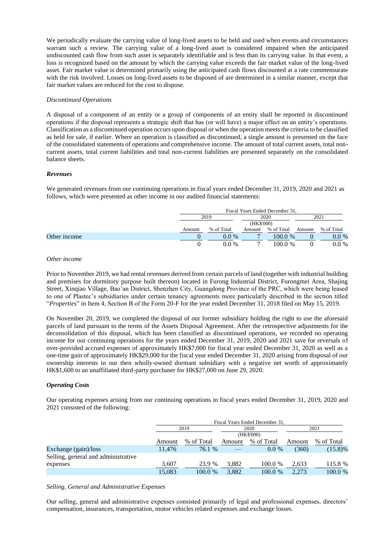We periodically evaluate the carrying value of long-lived assets to be held and used when events and circumstances warrant such a review. The carrying value of a long-lived asset is considered impaired when the anticipated undiscounted cash flow from such asset is separately identifiable and is less than its carrying value. In that event, a loss is recognized based on the amount by which the carrying value exceeds the fair market value of the long-lived asset. Fair market value is determined primarily using the anticipated cash flows discounted at a rate commensurate with the risk involved. Losses on long-lived assets to be disposed of are determined in a similar manner, except that fair market values are reduced for the cost to dispose.

## *Discontinued Operations*

A disposal of a component of an entity or a group of components of an entity shall be reported in discontinued operations if the disposal represents a strategic shift that has (or will have) a major effect on an entity's operations. Classification as a discontinued operation occurs upon disposal or when the operation meets the criteria to be classified as held for sale, if earlier. Where an operation is classified as discontinued, a single amount is presented on the face of the consolidated statements of operations and comprehensive income. The amount of total current assets, total noncurrent assets, total current liabilities and total non-current liabilities are presented separately on the consolidated balance sheets.

## *Revenues*

We generated revenues from our continuing operations in fiscal years ended December 31, 2019, 2020 and 2021 as follows, which were presented as other income in our audited financial statements:

|              |        |            |            | Fiscal Years Ended December 31. |        |            |
|--------------|--------|------------|------------|---------------------------------|--------|------------|
|              |        | 2019       |            | 2020                            |        | 2021       |
|              |        |            | (HK\$'000) |                                 |        |            |
|              | Amount | % of Total | Amount     | % of Total                      | Amount | % of Total |
| Other income |        | $0.0\%$    |            | 100.0 %                         |        | $0.0\%$    |
|              |        | $0.0\%$    |            | 100.0%                          |        | $0.0\%$    |

### *Other income*

Prior to November 2019, we had rental revenues derived from certain parcels of land (together with industrial building and premises for dormitory purpose built thereon) located in Furong Industrial District, Furongmei Area, Shajing Street, Xinqiao Village, Bao'an District, Shenzhen City, Guangdong Province of the PRC, which were being leased to one of Plastec's subsidiaries under certain tenancy agreements more particularly described in the section titled "*Properties*" in Item 4, Section B of the Form 20-F for the year ended December 31, 2018 filed on May 15, 2019.

On November 20, 2019, we completed the disposal of our former subsidiary holding the right to use the aforesaid parcels of land pursuant to the terms of the Assets Disposal Agreement. After the retrospective adjustments for the deconsolidation of this disposal, which has been classified as discontinued operations, we recorded no operating income for our continuing operations for the years ended December 31, 2019, 2020 and 2021 save for reversals of over-provided accrued expenses of approximately HK\$7,000 for fiscal year ended December 31, 2020 as well as a one-time gain of approximately HK\$29,000 for the fiscal year ended December 31, 2020 arising from disposal of our ownership interests in our then wholly-owned dormant subsidiary with a negative net worth of approximately HK\$1,600 to an unaffiliated third-party purchaser for HK\$27,000 on June 29, 2020.

### *Operating Costs*

Our operating expenses arising from our continuing operations in fiscal years ended December 31, 2019, 2020 and 2021 consisted of the following:

|                                     |        |            |            | Fiscal Years Ended December 31, |        |            |
|-------------------------------------|--------|------------|------------|---------------------------------|--------|------------|
|                                     |        | 2019       |            | 2020                            |        | 2021       |
|                                     |        |            | (HK\$'000) |                                 |        |            |
|                                     | Amount | % of Total | Amount     | % of Total                      | Amount | % of Total |
| Exchange (gain)/loss                | 11.476 | 76.1 %     |            | $0.0\%$                         | (360)  | $(15.8)\%$ |
| Selling, general and administrative |        |            |            |                                 |        |            |
| expenses                            | 3,607  | 23.9 %     | 3.882      | 100.0 %                         | 2.633  | 115.8 %    |
|                                     | 15,083 | 100.0 %    | 3.882      | 100.0 %                         | 2.273  | 100.0 %    |

### *Selling, General and Administrative Expenses*

Our selling, general and administrative expenses consisted primarily of legal and professional expenses, directors' compensation, insurances, transportation, motor vehicles related expenses and exchange losses.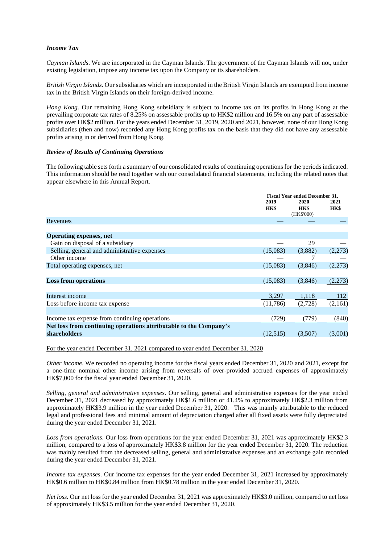# *Income Tax*

*Cayman Islands*. We are incorporated in the Cayman Islands. The government of the Cayman Islands will not, under existing legislation, impose any income tax upon the Company or its shareholders.

*British Virgin Islands*. Our subsidiaries which are incorporated in the British Virgin Islands are exempted from income tax in the British Virgin Islands on their foreign-derived income.

*Hong Kong*. Our remaining Hong Kong subsidiary is subject to income tax on its profits in Hong Kong at the prevailing corporate tax rates of 8.25% on assessable profits up to HK\$2 million and 16.5% on any part of assessable profits over HK\$2 million. For the years ended December 31, 2019, 2020 and 2021, however, none of our Hong Kong subsidiaries (then and now) recorded any Hong Kong profits tax on the basis that they did not have any assessable profits arising in or derived from Hong Kong.

## *Review of Results of Continuing Operations*

The following table sets forth a summary of our consolidated results of continuing operations for the periods indicated. This information should be read together with our consolidated financial statements, including the related notes that appear elsewhere in this Annual Report.

|                                                                   | <b>Fiscal Year ended December 31,</b> |             |         |
|-------------------------------------------------------------------|---------------------------------------|-------------|---------|
|                                                                   | 2019                                  | 2020        |         |
|                                                                   | HK\$                                  | <b>HK\$</b> | HK\$    |
|                                                                   |                                       | (HK\$'000)  |         |
| Revenues                                                          |                                       |             |         |
|                                                                   |                                       |             |         |
| <b>Operating expenses, net</b>                                    |                                       |             |         |
| Gain on disposal of a subsidiary                                  |                                       | 29          |         |
| Selling, general and administrative expenses                      | (15,083)                              | (3,882)     | (2,273) |
| Other income                                                      |                                       |             |         |
| Total operating expenses, net                                     | (15,083)                              | (3,846)     | (2.273) |
|                                                                   |                                       |             |         |
| <b>Loss from operations</b>                                       | (15,083)                              | (3,846)     | (2.273) |
|                                                                   |                                       |             |         |
| Interest income                                                   | 3,297                                 | 1,118       | 112     |
| Loss before income tax expense                                    | (11,786)                              | (2,728)     | (2,161) |
|                                                                   |                                       |             |         |
| Income tax expense from continuing operations                     | (729)                                 | (779)       | (840)   |
| Net loss from continuing operations attributable to the Company's |                                       |             |         |
| shareholders                                                      | (12,515)                              | (3,507)     | (3,001) |
|                                                                   |                                       |             |         |

For the year ended December 31, 2021 compared to year ended December 31, 2020

*Other income*. We recorded no operating income for the fiscal years ended December 31, 2020 and 2021, except for a one-time nominal other income arising from reversals of over-provided accrued expenses of approximately HK\$7,000 for the fiscal year ended December 31, 2020.

*Selling, general and administrative expenses*. Our selling, general and administrative expenses for the year ended December 31, 2021 decreased by approximately HK\$1.6 million or 41.4% to approximately HK\$2.3 million from approximately HK\$3.9 million in the year ended December 31, 2020. This was mainly attributable to the reduced legal and professional fees and minimal amount of depreciation charged after all fixed assets were fully depreciated during the year ended December 31, 2021.

*Loss from operations*. Our loss from operations for the year ended December 31, 2021 was approximately HK\$2.3 million, compared to a loss of approximately HK\$3.8 million for the year ended December 31, 2020. The reduction was mainly resulted from the decreased selling, general and administrative expenses and an exchange gain recorded during the year ended December 31, 2021.

*Income tax expenses*. Our income tax expenses for the year ended December 31, 2021 increased by approximately HK\$0.6 million to HK\$0.84 million from HK\$0.78 million in the year ended December 31, 2020.

*Net loss.* Our net loss for the year ended December 31, 2021 was approximately HK\$3.0 million, compared to net loss of approximately HK\$3.5 million for the year ended December 31, 2020.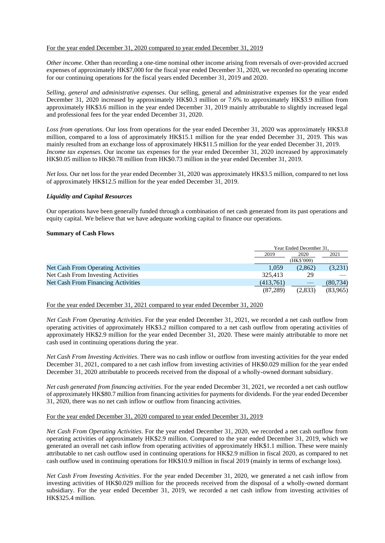## For the year ended December 31, 2020 compared to year ended December 31, 2019

*Other income*. Other than recording a one-time nominal other income arising from reversals of over-provided accrued expenses of approximately HK\$7,000 for the fiscal year ended December 31, 2020, we recorded no operating income for our continuing operations for the fiscal years ended December 31, 2019 and 2020.

*Selling, general and administrative expenses*. Our selling, general and administrative expenses for the year ended December 31, 2020 increased by approximately HK\$0.3 million or 7.6% to approximately HK\$3.9 million from approximately HK\$3.6 million in the year ended December 31, 2019 mainly attributable to slightly increased legal and professional fees for the year ended December 31, 2020.

*Loss from operations*. Our loss from operations for the year ended December 31, 2020 was approximately HK\$3.8 million, compared to a loss of approximately HK\$15.1 million for the year ended December 31, 2019. This was mainly resulted from an exchange loss of approximately HK\$11.5 million for the year ended December 31, 2019. *Income tax expenses*. Our income tax expenses for the year ended December 31, 2020 increased by approximately HK\$0.05 million to HK\$0.78 million from HK\$0.73 million in the year ended December 31, 2019.

*Net loss.* Our net loss for the year ended December 31, 2020 was approximately HK\$3.5 million, compared to net loss of approximately HK\$12.5 million for the year ended December 31, 2019.

# *Liquidity and Capital Resources*

Our operations have been generally funded through a combination of net cash generated from its past operations and equity capital. We believe that we have adequate working capital to finance our operations.

### **Summary of Cash Flows**

| Year Ended December 31. |            |           |
|-------------------------|------------|-----------|
| 2019                    |            | 2021      |
|                         | (HK\$'000) |           |
| 1,059                   | (2,862)    | (3,231)   |
| 325,413                 | 29         |           |
| (413,761)               |            | (80, 734) |
| (87.289)                | (2.833)    | (83,965)  |
|                         |            | 2020      |

For the year ended December 31, 2021 compared to year ended December 31, 2020

*Net Cash From Operating Activities*. For the year ended December 31, 2021, we recorded a net cash outflow from operating activities of approximately HK\$3.2 million compared to a net cash outflow from operating activities of approximately HK\$2.9 million for the year ended December 31, 2020. These were mainly attributable to more net cash used in continuing operations during the year.

*Net Cash From Investing Activities*. There was no cash inflow or outflow from investing activities for the year ended December 31, 2021, compared to a net cash inflow from investing activities of HK\$0.029 million for the year ended December 31, 2020 attributable to proceeds received from the disposal of a wholly-owned dormant subsidiary.

*Net cash generated from financing activities*. For the year ended December 31, 2021, we recorded a net cash outflow of approximately HK\$80.7 million from financing activities for payments for dividends. For the year ended December 31, 2020, there was no net cash inflow or outflow from financing activities.

For the year ended December 31, 2020 compared to year ended December 31, 2019

*Net Cash From Operating Activities*. For the year ended December 31, 2020, we recorded a net cash outflow from operating activities of approximately HK\$2.9 million. Compared to the year ended December 31, 2019, which we generated an overall net cash inflow from operating activities of approximately HK\$1.1 million. These were mainly attributable to net cash outflow used in continuing operations for HK\$2.9 million in fiscal 2020, as compared to net cash outflow used in continuing operations for HK\$10.9 million in fiscal 2019 (mainly in terms of exchange loss).

*Net Cash From Investing Activities*. For the year ended December 31, 2020, we generated a net cash inflow from investing activities of HK\$0.029 million for the proceeds received from the disposal of a wholly-owned dormant subsidiary. For the year ended December 31, 2019, we recorded a net cash inflow from investing activities of HK\$325.4 million.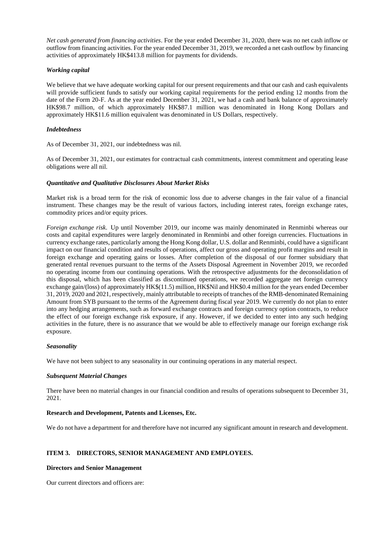*Net cash generated from financing activities*. For the year ended December 31, 2020, there was no net cash inflow or outflow from financing activities. For the year ended December 31, 2019, we recorded a net cash outflow by financing activities of approximately HK\$413.8 million for payments for dividends.

# *Working capital*

We believe that we have adequate working capital for our present requirements and that our cash and cash equivalents will provide sufficient funds to satisfy our working capital requirements for the period ending 12 months from the date of the Form 20-F. As at the year ended December 31, 2021, we had a cash and bank balance of approximately HK\$98.7 million, of which approximately HK\$87.1 million was denominated in Hong Kong Dollars and approximately HK\$11.6 million equivalent was denominated in US Dollars, respectively.

## *Indebtedness*

As of December 31, 2021, our indebtedness was nil.

As of December 31, 2021, our estimates for contractual cash commitments, interest commitment and operating lease obligations were all nil.

## *Quantitative and Qualitative Disclosures About Market Risks*

Market risk is a broad term for the risk of economic loss due to adverse changes in the fair value of a financial instrument. These changes may be the result of various factors, including interest rates, foreign exchange rates, commodity prices and/or equity prices.

*Foreign exchange risk*. Up until November 2019, our income was mainly denominated in Renminbi whereas our costs and capital expenditures were largely denominated in Renminbi and other foreign currencies. Fluctuations in currency exchange rates, particularly among the Hong Kong dollar, U.S. dollar and Renminbi, could have a significant impact on our financial condition and results of operations, affect our gross and operating profit margins and result in foreign exchange and operating gains or losses. After completion of the disposal of our former subsidiary that generated rental revenues pursuant to the terms of the Assets Disposal Agreement in November 2019, we recorded no operating income from our continuing operations. With the retrospective adjustments for the deconsolidation of this disposal, which has been classified as discontinued operations, we recorded aggregate net foreign currency exchange gain/(loss) of approximately HK\$(11.5) million, HK\$Nil and HK\$0.4 million for the years ended December 31, 2019, 2020 and 2021, respectively, mainly attributable to receipts of tranches of the RMB-denominated Remaining Amount from SYB pursuant to the terms of the Agreement during fiscal year 2019. We currently do not plan to enter into any hedging arrangements, such as forward exchange contracts and foreign currency option contracts, to reduce the effect of our foreign exchange risk exposure, if any. However, if we decided to enter into any such hedging activities in the future, there is no assurance that we would be able to effectively manage our foreign exchange risk exposure.

### *Seasonality*

We have not been subject to any seasonality in our continuing operations in any material respect.

### *Subsequent Material Changes*

There have been no material changes in our financial condition and results of operations subsequent to December 31, 2021.

# **Research and Development, Patents and Licenses, Etc.**

We do not have a department for and therefore have not incurred any significant amount in research and development.

# **ITEM 3. DIRECTORS, SENIOR MANAGEMENT AND EMPLOYEES.**

### **Directors and Senior Management**

Our current directors and officers are: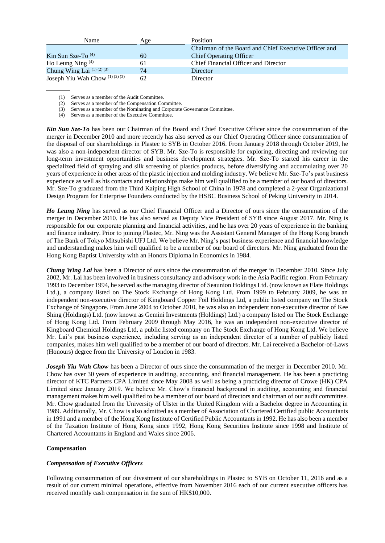| Name                            | Age | <b>Position</b>                                       |
|---------------------------------|-----|-------------------------------------------------------|
|                                 |     | Chairman of the Board and Chief Executive Officer and |
| Kin Sun Sze-To $(4)$            | 60  | <b>Chief Operating Officer</b>                        |
| Ho Leung Ning $(4)$             | 61  | Chief Financial Officer and Director                  |
| Chung Wing Lai $(1)(2)(3)$      | 74  | Director                                              |
| Joseph Yiu Wah Chow $(1)(2)(3)$ | 62  | Director                                              |

(1) Serves as a member of the Audit Committee.

(2) Serves as a member of the Compensation Committee.

(3) Serves as a member of the Nominating and Corporate Governance Committee.

(4) Serves as a member of the Executive Committee.

*Kin Sun Sze-To* has been our Chairman of the Board and Chief Executive Officer since the consummation of the merger in December 2010 and more recently has also served as our Chief Operating Officer since consummation of the disposal of our shareholdings in Plastec to SYB in October 2016. From January 2018 through October 2019, he was also a non-independent director of SYB. Mr. Sze-To is responsible for exploring, directing and reviewing our long-term investment opportunities and business development strategies. Mr. Sze-To started his career in the specialized field of spraying and silk screening of plastics products, before diversifying and accumulating over 20 years of experience in other areas of the plastic injection and molding industry. We believe Mr. Sze-To's past business experience as well as his contacts and relationships make him well qualified to be a member of our board of directors. Mr. Sze-To graduated from the Third Kaiping High School of China in 1978 and completed a 2-year Organizational Design Program for Enterprise Founders conducted by the HSBC Business School of Peking University in 2014.

*Ho Leung Ning* has served as our Chief Financial Officer and a Director of ours since the consummation of the merger in December 2010. He has also served as Deputy Vice President of SYB since August 2017. Mr. Ning is responsible for our corporate planning and financial activities, and he has over 20 years of experience in the banking and finance industry. Prior to joining Plastec, Mr. Ning was the Assistant General Manager of the Hong Kong branch of The Bank of Tokyo Mitsubishi UFJ Ltd. We believe Mr. Ning's past business experience and financial knowledge and understanding makes him well qualified to be a member of our board of directors. Mr. Ning graduated from the Hong Kong Baptist University with an Honors Diploma in Economics in 1984.

*Chung Wing Lai* has been a Director of ours since the consummation of the merger in December 2010. Since July 2002, Mr. Lai has been involved in business consultancy and advisory work in the Asia Pacific region. From February 1993 to December 1994, he served as the managing director of Seaunion Holdings Ltd. (now known as Elate Holdings Ltd.), a company listed on The Stock Exchange of Hong Kong Ltd. From 1999 to February 2009, he was an independent non-executive director of Kingboard Copper Foil Holdings Ltd, a public listed company on The Stock Exchange of Singapore. From June 2004 to October 2010, he was also an independent non-executive director of Kee Shing (Holdings) Ltd. (now known as Gemini Investments (Holdings) Ltd.) a company listed on The Stock Exchange of Hong Kong Ltd. From February 2009 through May 2016, he was an independent non-executive director of Kingboard Chemical Holdings Ltd, a public listed company on The Stock Exchange of Hong Kong Ltd. We believe Mr. Lai's past business experience, including serving as an independent director of a number of publicly listed companies, makes him well qualified to be a member of our board of directors. Mr. Lai received a Bachelor-of-Laws (Honours) degree from the University of London in 1983.

*Joseph Yiu Wah Chow* has been a Director of ours since the consummation of the merger in December 2010. Mr. Chow has over 30 years of experience in auditing, accounting, and financial management. He has been a practicing director of KTC Partners CPA Limited since May 2008 as well as being a practicing director of Crowe (HK) CPA Limited since January 2019. We believe Mr. Chow's financial background in auditing, accounting and financial management makes him well qualified to be a member of our board of directors and chairman of our audit committee. Mr. Chow graduated from the University of Ulster in the United Kingdom with a Bachelor degree in Accounting in 1989. Additionally, Mr. Chow is also admitted as a member of Association of Chartered Certified public Accountants in 1991 and a member of the Hong Kong Institute of Certified Public Accountants in 1992. He has also been a member of the Taxation Institute of Hong Kong since 1992, Hong Kong Securities Institute since 1998 and Institute of Chartered Accountants in England and Wales since 2006.

# **Compensation**

# *Compensation of Executive Officers*

Following consummation of our divestment of our shareholdings in Plastec to SYB on October 11, 2016 and as a result of our current minimal operations, effective from November 2016 each of our current executive officers has received monthly cash compensation in the sum of HK\$10,000.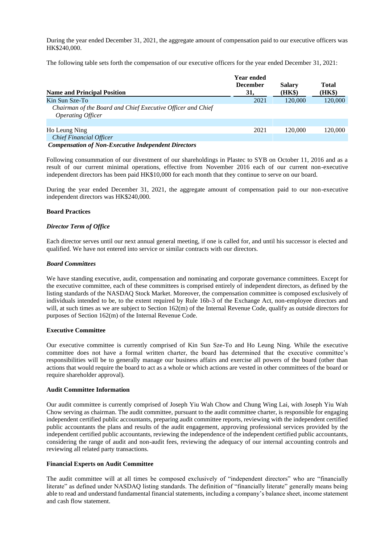During the year ended December 31, 2021, the aggregate amount of compensation paid to our executive officers was HK\$240,000.

The following table sets forth the compensation of our executive officers for the year ended December 31, 2021:

|                                                                                                | <b>Year ended</b><br><b>December</b> | <b>Salary</b> | Total   |
|------------------------------------------------------------------------------------------------|--------------------------------------|---------------|---------|
| <b>Name and Principal Position</b>                                                             | 31.                                  | (HK\$)        | (HK\$)  |
| Kin Sun Sze-To                                                                                 | 2021                                 | 120,000       | 120,000 |
| Chairman of the Board and Chief Executive Officer and Chief<br><i><b>Operating Officer</b></i> |                                      |               |         |
|                                                                                                |                                      |               |         |
| Ho Leung Ning                                                                                  | 2021                                 | 120,000       | 120,000 |
| <b>Chief Financial Officer</b>                                                                 |                                      |               |         |

### *Compensation of Non-Executive Independent Directors*

Following consummation of our divestment of our shareholdings in Plastec to SYB on October 11, 2016 and as a result of our current minimal operations, effective from November 2016 each of our current non-executive independent directors has been paid HK\$10,000 for each month that they continue to serve on our board.

During the year ended December 31, 2021, the aggregate amount of compensation paid to our non-executive independent directors was HK\$240,000.

## **Board Practices**

## *Director Term of Office*

Each director serves until our next annual general meeting, if one is called for, and until his successor is elected and qualified. We have not entered into service or similar contracts with our directors.

## *Board Committees*

We have standing executive, audit, compensation and nominating and corporate governance committees. Except for the executive committee, each of these committees is comprised entirely of independent directors, as defined by the listing standards of the NASDAQ Stock Market. Moreover, the compensation committee is composed exclusively of individuals intended to be, to the extent required by Rule 16b-3 of the Exchange Act, non-employee directors and will, at such times as we are subject to Section 162(m) of the Internal Revenue Code, qualify as outside directors for purposes of Section 162(m) of the Internal Revenue Code.

# **Executive Committee**

Our executive committee is currently comprised of Kin Sun Sze-To and Ho Leung Ning. While the executive committee does not have a formal written charter, the board has determined that the executive committee's responsibilities will be to generally manage our business affairs and exercise all powers of the board (other than actions that would require the board to act as a whole or which actions are vested in other committees of the board or require shareholder approval).

## **Audit Committee Information**

Our audit committee is currently comprised of Joseph Yiu Wah Chow and Chung Wing Lai, with Joseph Yiu Wah Chow serving as chairman. The audit committee, pursuant to the audit committee charter, is responsible for engaging independent certified public accountants, preparing audit committee reports, reviewing with the independent certified public accountants the plans and results of the audit engagement, approving professional services provided by the independent certified public accountants, reviewing the independence of the independent certified public accountants, considering the range of audit and non-audit fees, reviewing the adequacy of our internal accounting controls and reviewing all related party transactions.

# **Financial Experts on Audit Committee**

The audit committee will at all times be composed exclusively of "independent directors" who are "financially literate" as defined under NASDAQ listing standards. The definition of "financially literate" generally means being able to read and understand fundamental financial statements, including a company's balance sheet, income statement and cash flow statement.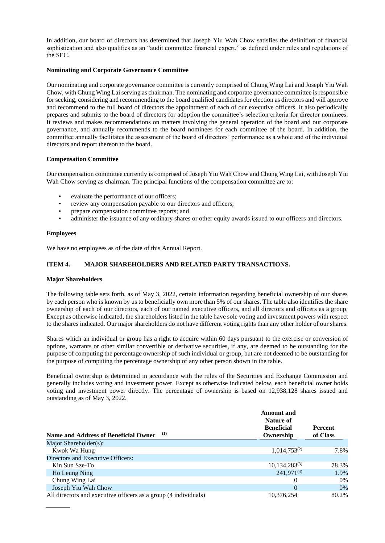In addition, our board of directors has determined that Joseph Yiu Wah Chow satisfies the definition of financial sophistication and also qualifies as an "audit committee financial expert," as defined under rules and regulations of the SEC.

# **Nominating and Corporate Governance Committee**

Our nominating and corporate governance committee is currently comprised of Chung Wing Lai and Joseph Yiu Wah Chow, with Chung Wing Lai serving as chairman. The nominating and corporate governance committee is responsible for seeking, considering and recommending to the board qualified candidates for election as directors and will approve and recommend to the full board of directors the appointment of each of our executive officers. It also periodically prepares and submits to the board of directors for adoption the committee's selection criteria for director nominees. It reviews and makes recommendations on matters involving the general operation of the board and our corporate governance, and annually recommends to the board nominees for each committee of the board. In addition, the committee annually facilitates the assessment of the board of directors' performance as a whole and of the individual directors and report thereon to the board.

# **Compensation Committee**

Our compensation committee currently is comprised of Joseph Yiu Wah Chow and Chung Wing Lai, with Joseph Yiu Wah Chow serving as chairman. The principal functions of the compensation committee are to:

- evaluate the performance of our officers;
- review any compensation payable to our directors and officers;
- prepare compensation committee reports; and
- administer the issuance of any ordinary shares or other equity awards issued to our officers and directors.

# **Employees**

We have no employees as of the date of this Annual Report.

# **ITEM 4. MAJOR SHAREHOLDERS AND RELATED PARTY TRANSACTIONS.**

# **Major Shareholders**

The following table sets forth, as of May 3, 2022, certain information regarding beneficial ownership of our shares by each person who is known by us to beneficially own more than 5% of our shares. The table also identifies the share ownership of each of our directors, each of our named executive officers, and all directors and officers as a group. Except as otherwise indicated, the shareholders listed in the table have sole voting and investment powers with respect to the shares indicated. Our major shareholders do not have different voting rights than any other holder of our shares.

Shares which an individual or group has a right to acquire within 60 days pursuant to the exercise or conversion of options, warrants or other similar convertible or derivative securities, if any, are deemed to be outstanding for the purpose of computing the percentage ownership of such individual or group, but are not deemed to be outstanding for the purpose of computing the percentage ownership of any other person shown in the table.

Beneficial ownership is determined in accordance with the rules of the Securities and Exchange Commission and generally includes voting and investment power. Except as otherwise indicated below, each beneficial owner holds voting and investment power directly. The percentage of ownership is based on 12,938,128 shares issued and outstanding as of May 3, 2022.

|                                                                 | <b>Amount</b> and<br>Nature of<br><b>Beneficial</b> | <b>Percent</b> |
|-----------------------------------------------------------------|-----------------------------------------------------|----------------|
| (1)<br>Name and Address of Beneficial Owner                     | Ownership                                           | of Class       |
| Major Shareholder(s):                                           |                                                     |                |
| Kwok Wa Hung                                                    | $1,014,753^{(2)}$                                   | 7.8%           |
| Directors and Executive Officers:                               |                                                     |                |
| Kin Sun Sze-To                                                  | $10,134,283^{(3)}$                                  | 78.3%          |
| Ho Leung Ning                                                   | $241,971^{(4)}$                                     | 1.9%           |
| Chung Wing Lai                                                  | $\Omega$                                            | $0\%$          |
| Joseph Yiu Wah Chow                                             | $\Omega$                                            | $0\%$          |
| All directors and executive officers as a group (4 individuals) | 10,376,254                                          | 80.2%          |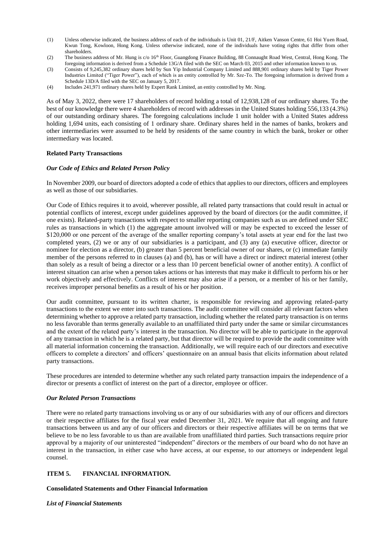- (1) Unless otherwise indicated, the business address of each of the individuals is Unit 01, 21/F, Aitken Vanson Centre, 61 Hoi Yuen Road, Kwun Tong, Kowloon, Hong Kong. Unless otherwise indicated, none of the individuals have voting rights that differ from other shareholders.
- (2) The business address of Mr. Hung is c/o 16<sup>th</sup> Floor, Guangdong Finance Building, 88 Connaught Road West, Central, Hong Kong. The foregoing information is derived from a Schedule 13G/A filed with the SEC on March 03, 2015 and other information known to us.
- (3) Consists of 9,245,382 ordinary shares held by Sun Yip Industrial Company Limited and 888,901 ordinary shares held by Tiger Power Industries Limited ("Tiger Power"), each of which is an entity controlled by Mr. Sze-To. The foregoing information is derived from a Schedule 13D/A filed with the SEC on January 5, 2017.
- (4) Includes 241,971 ordinary shares held by Expert Rank Limited, an entity controlled by Mr. Ning.

As of May 3, 2022, there were 17 shareholders of record holding a total of 12,938,128 of our ordinary shares. To the best of our knowledge there were 4 shareholders of record with addresses in the United States holding 556,133 (4.3%) of our outstanding ordinary shares. The foregoing calculations include 1 unit holder with a United States address holding 1,694 units, each consisting of 1 ordinary share. Ordinary shares held in the names of banks, brokers and other intermediaries were assumed to be held by residents of the same country in which the bank, broker or other intermediary was located.

## **Related Party Transactions**

## *Our Code of Ethics and Related Person Policy*

In November 2009, our board of directors adopted a code of ethics that applies to our directors, officers and employees as well as those of our subsidiaries.

Our Code of Ethics requires it to avoid, wherever possible, all related party transactions that could result in actual or potential conflicts of interest, except under guidelines approved by the board of directors (or the audit committee, if one exists). Related-party transactions with respect to smaller reporting companies such as us are defined under SEC rules as transactions in which (1) the aggregate amount involved will or may be expected to exceed the lesser of \$120,000 or one percent of the average of the smaller reporting company's total assets at year end for the last two completed years, (2) we or any of our subsidiaries is a participant, and (3) any (a) executive officer, director or nominee for election as a director, (b) greater than 5 percent beneficial owner of our shares, or (c) immediate family member of the persons referred to in clauses (a) and (b), has or will have a direct or indirect material interest (other than solely as a result of being a director or a less than 10 percent beneficial owner of another entity). A conflict of interest situation can arise when a person takes actions or has interests that may make it difficult to perform his or her work objectively and effectively. Conflicts of interest may also arise if a person, or a member of his or her family, receives improper personal benefits as a result of his or her position.

Our audit committee, pursuant to its written charter, is responsible for reviewing and approving related-party transactions to the extent we enter into such transactions. The audit committee will consider all relevant factors when determining whether to approve a related party transaction, including whether the related party transaction is on terms no less favorable than terms generally available to an unaffiliated third party under the same or similar circumstances and the extent of the related party's interest in the transaction. No director will be able to participate in the approval of any transaction in which he is a related party, but that director will be required to provide the audit committee with all material information concerning the transaction. Additionally, we will require each of our directors and executive officers to complete a directors' and officers' questionnaire on an annual basis that elicits information about related party transactions.

These procedures are intended to determine whether any such related party transaction impairs the independence of a director or presents a conflict of interest on the part of a director, employee or officer.

### *Our Related Person Transactions*

There were no related party transactions involving us or any of our subsidiaries with any of our officers and directors or their respective affiliates for the fiscal year ended December 31, 2021. We require that all ongoing and future transactions between us and any of our officers and directors or their respective affiliates will be on terms that we believe to be no less favorable to us than are available from unaffiliated third parties. Such transactions require prior approval by a majority of our uninterested "independent" directors or the members of our board who do not have an interest in the transaction, in either case who have access, at our expense, to our attorneys or independent legal counsel.

# **ITEM 5. FINANCIAL INFORMATION.**

### **Consolidated Statements and Other Financial Information**

*List of Financial Statements*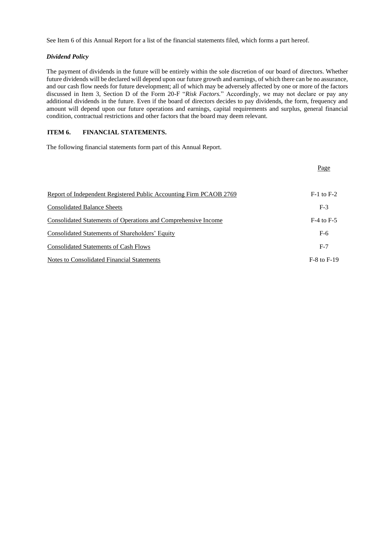See Item 6 of this Annual Report for a list of the financial statements filed, which forms a part hereof.

# *Dividend Policy*

The payment of dividends in the future will be entirely within the sole discretion of our board of directors. Whether future dividends will be declared will depend upon our future growth and earnings, of which there can be no assurance, and our cash flow needs for future development; all of which may be adversely affected by one or more of the factors discussed in Item 3, Section D of the Form 20-F "*Risk Factors.*" Accordingly, we may not declare or pay any additional dividends in the future. Even if the board of directors decides to pay dividends, the form, frequency and amount will depend upon our future operations and earnings, capital requirements and surplus, general financial condition, contractual restrictions and other factors that the board may deem relevant.

# **ITEM 6. FINANCIAL STATEMENTS.**

The following financial statements form part of this Annual Report.

|                                                                    | Page            |
|--------------------------------------------------------------------|-----------------|
| Report of Independent Registered Public Accounting Firm PCAOB 2769 | $F-1$ to $F-2$  |
| <b>Consolidated Balance Sheets</b>                                 | $F-3$           |
| Consolidated Statements of Operations and Comprehensive Income     | $F-4$ to $F-5$  |
| Consolidated Statements of Shareholders' Equity                    | $F-6$           |
| <b>Consolidated Statements of Cash Flows</b>                       | $F-7$           |
| Notes to Consolidated Financial Statements                         | $F-8$ to $F-19$ |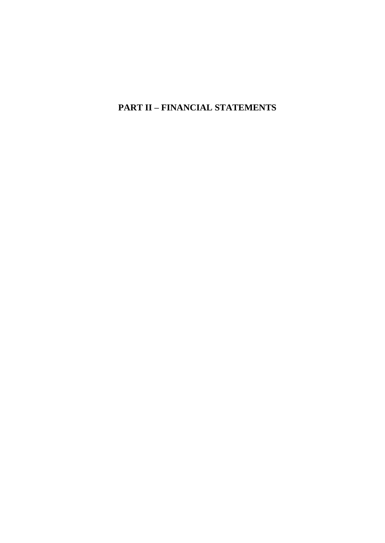**PART II – FINANCIAL STATEMENTS**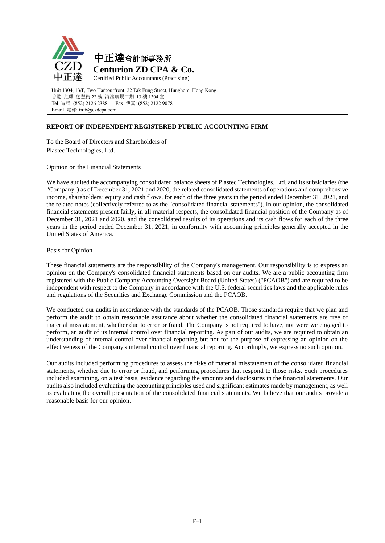

Unit 1304, 13/F, Two Harbourfront, 22 Tak Fung Street, Hunghom, Hong Kong. 香港 紅磡 德豐街 22 號 海濱廣場二期 13 樓 1304 室 Tel 電話: (852) 2126 2388 Fax 傳真: (852) 2122 9078 Email 電郵: info@czdcpa.com

# **REPORT OF INDEPENDENT REGISTERED PUBLIC ACCOUNTING FIRM**

To the Board of Directors and Shareholders of Plastec Technologies, Ltd.

Opinion on the Financial Statements

We have audited the accompanying consolidated balance sheets of Plastec Technologies, Ltd. and its subsidiaries (the "Company") as of December 31, 2021 and 2020, the related consolidated statements of operations and comprehensive income, shareholders' equity and cash flows, for each of the three years in the period ended December 31, 2021, and the related notes (collectively referred to as the "consolidated financial statements"). In our opinion, the consolidated financial statements present fairly, in all material respects, the consolidated financial position of the Company as of December 31, 2021 and 2020, and the consolidated results of its operations and its cash flows for each of the three years in the period ended December 31, 2021, in conformity with accounting principles generally accepted in the United States of America.

# Basis for Opinion

These financial statements are the responsibility of the Company's management. Our responsibility is to express an opinion on the Company's consolidated financial statements based on our audits. We are a public accounting firm registered with the Public Company Accounting Oversight Board (United States) ("PCAOB") and are required to be independent with respect to the Company in accordance with the U.S. federal securities laws and the applicable rules and regulations of the Securities and Exchange Commission and the PCAOB.

We conducted our audits in accordance with the standards of the PCAOB. Those standards require that we plan and perform the audit to obtain reasonable assurance about whether the consolidated financial statements are free of material misstatement, whether due to error or fraud. The Company is not required to have, nor were we engaged to perform, an audit of its internal control over financial reporting. As part of our audits, we are required to obtain an understanding of internal control over financial reporting but not for the purpose of expressing an opinion on the effectiveness of the Company's internal control over financial reporting. Accordingly, we express no such opinion.

Our audits included performing procedures to assess the risks of material misstatement of the consolidated financial statements, whether due to error or fraud, and performing procedures that respond to those risks. Such procedures included examining, on a test basis, evidence regarding the amounts and disclosures in the financial statements. Our audits also included evaluating the accounting principles used and significant estimates made by management, as well as evaluating the overall presentation of the consolidated financial statements. We believe that our audits provide a reasonable basis for our opinion.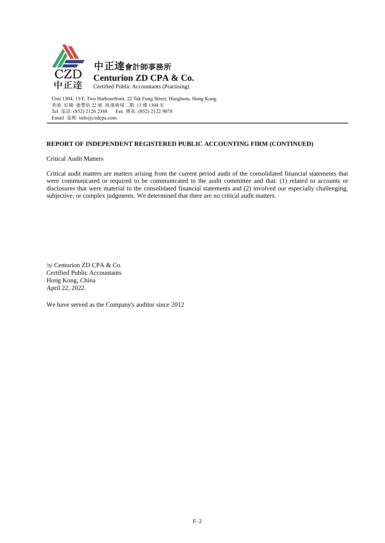

Unit 1304, 13/F, Two Harbourfront, 22 Tak Fung Street, Hunghom, Hong Kong. 香港 紅磡 德豐街 22 號 海濱廣場二期 13 樓 1304 室 Tel 電話: (852) 2126 2388 Fax 傳真: (852) 2122 9078 Email 電郵: info@czdcpa.com

# **REPORT OF INDEPENDENT REGISTERED PUBLIC ACCOUNTING FIRM (CONTINUED)**

Critical Audit Matters

Critical audit matters are matters arising from the current period audit of the consolidated financial statements that were communicated or required to be communicated to the audit committee and that: (1) related to accounts or disclosures that were material to the consolidated financial statements and (2) involved our especially challenging, subjective, or complex judgments. We determined that there are no critical audit matters.

/s/ Centurion ZD CPA & Co. Certified Public Accountants Hong Kong, China April 22, 2022.

We have served as the Company's auditor since 2012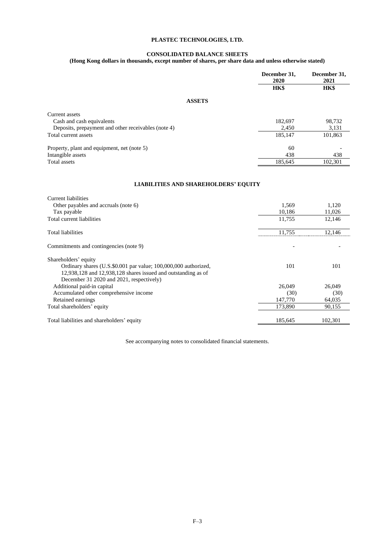#### **CONSOLIDATED BALANCE SHEETS**

#### **(Hong Kong dollars in thousands, except number of shares, per share data and unless otherwise stated)**

|                                                     | December 31,<br>2020 | December 31,<br>2021 |
|-----------------------------------------------------|----------------------|----------------------|
|                                                     | HK\$                 | <b>HK\$</b>          |
| <b>ASSETS</b>                                       |                      |                      |
| Current assets                                      |                      |                      |
| Cash and cash equivalents                           | 182,697              | 98,732               |
| Deposits, prepayment and other receivables (note 4) | 2,450                | 3,131                |
| Total current assets                                | 185,147              | 101,863              |
| Property, plant and equipment, net (note 5)         | 60                   |                      |
| Intangible assets                                   | 438                  | 438                  |
| Total assets                                        | 185,645              | 102,301              |
|                                                     |                      |                      |
| <b>LIABILITIES AND SHAREHOLDERS' EQUITY</b>         |                      |                      |
| Current liabilities                                 |                      |                      |

| 1,569   | 1,120   |
|---------|---------|
| 10,186  | 11,026  |
| 11,755  | 12,146  |
| 11,755  | 12,146  |
|         |         |
|         |         |
| 101     | 101     |
|         |         |
|         |         |
| 26,049  | 26,049  |
| (30)    | (30)    |
| 147,770 | 64,035  |
| 173.890 | 90,155  |
|         | 102,301 |
|         | 185,645 |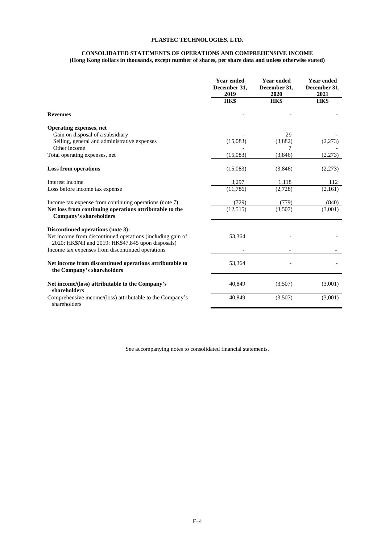#### **CONSOLIDATED STATEMENTS OF OPERATIONS AND COMPREHENSIVE INCOME (Hong Kong dollars in thousands, except number of shares, per share data and unless otherwise stated)**

|                                                                                                                                                                                                           | <b>Year ended</b><br>December 31,<br>2019 | <b>Year ended</b><br>December 31,<br>2020 | <b>Year ended</b><br>December 31,<br>2021 |
|-----------------------------------------------------------------------------------------------------------------------------------------------------------------------------------------------------------|-------------------------------------------|-------------------------------------------|-------------------------------------------|
|                                                                                                                                                                                                           | HK\$                                      | HK\$                                      | HK\$                                      |
| <b>Revenues</b>                                                                                                                                                                                           |                                           |                                           |                                           |
| <b>Operating expenses, net</b><br>Gain on disposal of a subsidiary<br>Selling, general and administrative expenses                                                                                        | (15,083)                                  | 29<br>(3,882)                             | (2,273)                                   |
| Other income<br>Total operating expenses, net                                                                                                                                                             | (15,083)                                  | (3,846)                                   | (2,273)                                   |
| <b>Loss from operations</b>                                                                                                                                                                               | (15,083)                                  | (3,846)                                   | (2,273)                                   |
| Interest income                                                                                                                                                                                           | 3,297                                     | 1,118                                     | 112                                       |
| Loss before income tax expense                                                                                                                                                                            | (11,786)                                  | (2,728)                                   | (2,161)                                   |
| Income tax expense from continuing operations (note 7)<br>Net loss from continuing operations attributable to the<br>Company's shareholders                                                               | (729)<br>(12, 515)                        | (779)<br>(3,507)                          | (840)<br>(3,001)                          |
| Discontinued operations (note 3):<br>Net income from discontinued operations (including gain of<br>2020: HK\$Nil and 2019: HK\$47,845 upon disposals)<br>Income tax expenses from discontinued operations | 53,364                                    |                                           |                                           |
| Net income from discontinued operations attributable to<br>the Company's shareholders                                                                                                                     | 53,364                                    |                                           |                                           |
| Net income/(loss) attributable to the Company's<br>shareholders                                                                                                                                           | 40,849                                    | (3,507)                                   | (3,001)                                   |
| Comprehensive income/(loss) attributable to the Company's<br>shareholders                                                                                                                                 | 40,849                                    | (3,507)                                   | (3,001)                                   |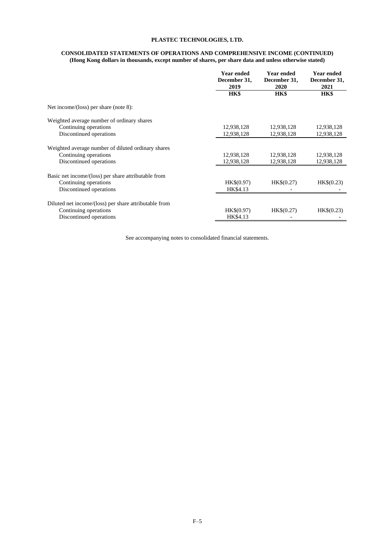#### **CONSOLIDATED STATEMENTS OF OPERATIONS AND COMPREHENSIVE INCOME (CONTINUED) (Hong Kong dollars in thousands, except number of shares, per share data and unless otherwise stated)**

|                                                       | <b>Year ended</b><br>December 31,<br>2019 | <b>Year ended</b><br>December 31,<br>2020 | <b>Year ended</b><br>December 31,<br>2021 |
|-------------------------------------------------------|-------------------------------------------|-------------------------------------------|-------------------------------------------|
|                                                       | HK\$                                      | <b>HK\$</b>                               | <b>HK\$</b>                               |
| Net income/(loss) per share (note 8):                 |                                           |                                           |                                           |
| Weighted average number of ordinary shares            |                                           |                                           |                                           |
| Continuing operations                                 | 12,938,128                                | 12,938,128                                | 12,938,128                                |
| Discontinued operations                               | 12,938,128                                | 12,938,128                                | 12,938,128                                |
| Weighted average number of diluted ordinary shares    |                                           |                                           |                                           |
| Continuing operations                                 | 12,938,128                                | 12,938,128                                | 12,938,128                                |
| Discontinued operations                               | 12,938,128                                | 12,938,128                                | 12,938,128                                |
| Basic net income/(loss) per share attributable from   |                                           |                                           |                                           |
| Continuing operations                                 | HK\$(0.97)                                | HK\$(0.27)                                | HK\$(0.23)                                |
| Discontinued operations                               | HK\$4.13                                  |                                           |                                           |
| Diluted net income/(loss) per share attributable from |                                           |                                           |                                           |
| Continuing operations                                 | HK\$(0.97)                                | HK\$(0.27)                                | HK\$(0.23)                                |
| Discontinued operations                               | HK\$4.13                                  |                                           |                                           |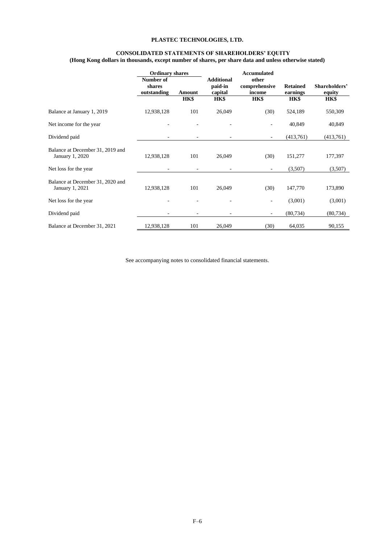#### **CONSOLIDATED STATEMENTS OF SHAREHOLDERS' EQUITY (Hong Kong dollars in thousands, except number of shares, per share data and unless otherwise stated)**

|                                                     | <b>Ordinary shares</b>             |        | Accumulated                             |                                  |                             |                         |  |
|-----------------------------------------------------|------------------------------------|--------|-----------------------------------------|----------------------------------|-----------------------------|-------------------------|--|
|                                                     | Number of<br>shares<br>outstanding | Amount | <b>Additional</b><br>paid-in<br>capital | other<br>comprehensive<br>income | <b>Retained</b><br>earnings | Shareholders'<br>equity |  |
|                                                     |                                    | HK\$   | HK\$                                    | HK\$                             | HK\$                        | <b>HK\$</b>             |  |
| Balance at January 1, 2019                          | 12,938,128                         | 101    | 26,049                                  | (30)                             | 524,189                     | 550,309                 |  |
| Net income for the year                             |                                    |        |                                         |                                  | 40,849                      | 40,849                  |  |
| Dividend paid                                       |                                    |        |                                         | $\overline{\phantom{a}}$         | (413,761)                   | (413,761)               |  |
| Balance at December 31, 2019 and<br>January 1, 2020 | 12,938,128                         | 101    | 26,049                                  | (30)                             | 151,277                     | 177,397                 |  |
| Net loss for the year                               |                                    |        |                                         | $\overline{\phantom{a}}$         | (3,507)                     | (3,507)                 |  |
| Balance at December 31, 2020 and<br>January 1, 2021 | 12,938,128                         | 101    | 26,049                                  | (30)                             | 147,770                     | 173,890                 |  |
| Net loss for the year                               |                                    |        |                                         | $\overline{\phantom{a}}$         | (3,001)                     | (3,001)                 |  |
| Dividend paid                                       |                                    | -      |                                         | $\overline{\phantom{a}}$         | (80, 734)                   | (80, 734)               |  |
| Balance at December 31, 2021                        | 12,938,128                         | 101    | 26,049                                  | (30)                             | 64,035                      | 90,155                  |  |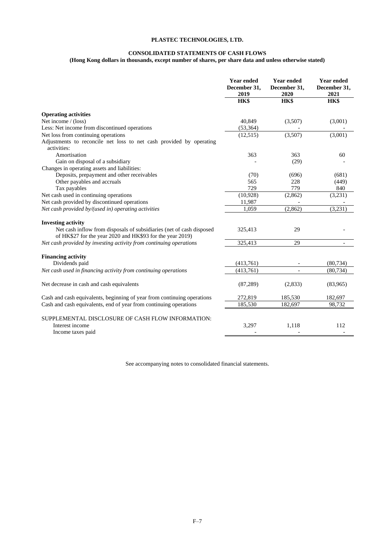# **CONSOLIDATED STATEMENTS OF CASH FLOWS**

# **(Hong Kong dollars in thousands, except number of shares, per share data and unless otherwise stated)**

|                                                                                                                                   | <b>Year ended</b><br>December 31,<br>2019 | <b>Year ended</b><br>December 31,<br>2020 | <b>Year ended</b><br>December 31,<br>2021 |
|-----------------------------------------------------------------------------------------------------------------------------------|-------------------------------------------|-------------------------------------------|-------------------------------------------|
|                                                                                                                                   | HK\$                                      | HK\$                                      | HK\$                                      |
| <b>Operating activities</b>                                                                                                       |                                           |                                           |                                           |
| Net income / (loss)                                                                                                               | 40,849                                    | (3,507)                                   | (3,001)                                   |
| Less: Net income from discontinued operations                                                                                     | (53, 364)                                 |                                           |                                           |
| Net loss from continuing operations                                                                                               | (12,515)                                  | (3,507)                                   | (3,001)                                   |
| Adjustments to reconcile net loss to net cash provided by operating                                                               |                                           |                                           |                                           |
| activities:                                                                                                                       |                                           |                                           |                                           |
| Amortisation                                                                                                                      | 363                                       | 363                                       | 60                                        |
| Gain on disposal of a subsidiary                                                                                                  |                                           | (29)                                      |                                           |
| Changes in operating assets and liabilities:                                                                                      |                                           |                                           |                                           |
| Deposits, prepayment and other receivables                                                                                        | (70)                                      | (696)                                     | (681)                                     |
| Other payables and accruals                                                                                                       | 565                                       | 228                                       | (449)                                     |
| Tax payables                                                                                                                      | 729                                       | 779                                       | 840                                       |
| Net cash used in continuing operations                                                                                            | (10, 928)                                 | (2,862)                                   | (3,231)                                   |
| Net cash provided by discontinued operations                                                                                      | 11,987                                    |                                           |                                           |
| Net cash provided by/(used in) operating activities                                                                               | 1.059                                     | (2,862)                                   | (3,231)                                   |
| <b>Investing activity</b>                                                                                                         |                                           |                                           |                                           |
| Net cash inflow from disposals of subsidiaries (net of cash disposed<br>of HK\$27 for the year 2020 and HK\$93 for the year 2019) | 325,413                                   | 29                                        |                                           |
| Net cash provided by investing activity from continuing operations                                                                | 325,413                                   | 29                                        |                                           |
| <b>Financing activity</b>                                                                                                         |                                           |                                           |                                           |
| Dividends paid                                                                                                                    | (413,761)                                 | $\overline{\phantom{a}}$                  | (80, 734)                                 |
| Net cash used in financing activity from continuing operations                                                                    | (413,761)                                 | $\overline{\phantom{a}}$                  | (80, 734)                                 |
|                                                                                                                                   |                                           |                                           |                                           |
| Net decrease in cash and cash equivalents                                                                                         | (87,289)                                  | (2,833)                                   | (83,965)                                  |
| Cash and cash equivalents, beginning of year from continuing operations                                                           | 272,819                                   | 185,530                                   | 182,697                                   |
| Cash and cash equivalents, end of year from continuing operations                                                                 | 185,530                                   | 182,697                                   | 98,732                                    |
| SUPPLEMENTAL DISCLOSURE OF CASH FLOW INFORMATION:<br>Interest income<br>Income taxes paid                                         | 3,297                                     | 1,118                                     | 112                                       |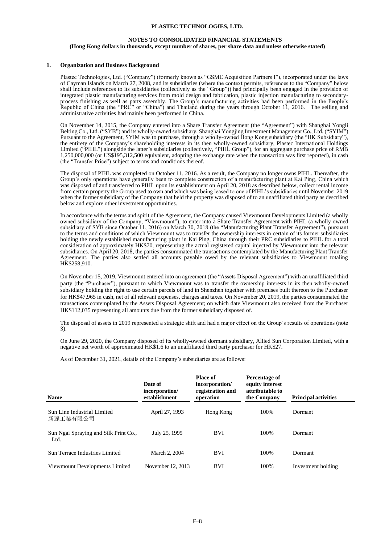### **NOTES TO CONSOLIDATED FINANCIAL STATEMENTS (Hong Kong dollars in thousands, except number of shares, per share data and unless otherwise stated)**

### **1. Organization and Business Background**

Plastec Technologies, Ltd. ("Company") (formerly known as "GSME Acquisition Partners I"), incorporated under the laws of Cayman Islands on March 27, 2008, and its subsidiaries (where the context permits, references to the "Company" below shall include references to its subsidiaries (collectively as the "Group")) had principally been engaged in the provision of integrated plastic manufacturing services from mold design and fabrication, plastic injection manufacturing to secondaryprocess finishing as well as parts assembly. The Group's manufacturing activities had been performed in the People's Republic of China (the "PRC" or "China") and Thailand during the years through October 11, 2016. The selling and administrative activities had mainly been performed in China.

On November 14, 2015, the Company entered into a Share Transfer Agreement (the "Agreement") with Shanghai Yongli Belting Co., Ltd. ("SYB") and its wholly-owned subsidiary, Shanghai Yongjing Investment Management Co., Ltd. ("SYIM"). Pursuant to the Agreement, SYIM was to purchase, through a wholly-owned Hong Kong subsidiary (the "HK Subsidiary"), the entirety of the Company's shareholding interests in its then wholly-owned subsidiary, Plastec International Holdings Limited ("PIHL") alongside the latter's subsidiaries (collectively, "PIHL Group"), for an aggregate purchase price of RMB 1,250,000,000 (or US\$195,312,500 equivalent, adopting the exchange rate when the transaction was first reported), in cash (the "Transfer Price") subject to terms and conditions thereof.

The disposal of PIHL was completed on October 11, 2016. As a result, the Company no longer owns PIHL. Thereafter, the Group's only operations have generally been to complete construction of a manufacturing plant at Kai Ping, China which was disposed of and transferred to PIHL upon its establishment on April 20, 2018 as described below, collect rental income from certain property the Group used to own and which was being leased to one of PIHL's subsidiaries until November 2019 when the former subsidiary of the Company that held the property was disposed of to an unaffiliated third party as described below and explore other investment opportunities.

In accordance with the terms and spirit of the Agreement, the Company caused Viewmount Developments Limited (a wholly owned subsidiary of the Company, "Viewmount"), to enter into a Share Transfer Agreement with PIHL (a wholly owned subsidiary of SYB since October 11, 2016) on March 30, 2018 (the "Manufacturing Plant Transfer Agreement"), pursuant to the terms and conditions of which Viewmount was to transfer the ownership interests in certain of its former subsidiaries holding the newly established manufacturing plant in Kai Ping, China through their PRC subsidiaries to PIHL for a total consideration of approximately HK\$70, representing the actual registered capital injected by Viewmount into the relevant subsidiaries. On April 20, 2018, the parties consummated the transactions contemplated by the Manufacturing Plant Transfer Agreement. The parties also settled all accounts payable owed by the relevant subsidiaries to Viewmount totaling HK\$258,910.

On November 15, 2019, Viewmount entered into an agreement (the "Assets Disposal Agreement") with an unaffiliated third party (the "Purchaser"), pursuant to which Viewmount was to transfer the ownership interests in its then wholly-owned subsidiary holding the right to use certain parcels of land in Shenzhen together with premises built thereon to the Purchaser for HK\$47,965 in cash, net of all relevant expenses, charges and taxes. On November 20, 2019, the parties consummated the transactions contemplated by the Assets Disposal Agreement; on which date Viewmount also received from the Purchaser HK\$112,035 representing all amounts due from the former subsidiary disposed of.

The disposal of assets in 2019 represented a strategic shift and had a major effect on the Group's results of operations (note 3).

On June 29, 2020, the Company disposed of its wholly-owned dormant subsidiary, Allied Sun Corporation Limited, with a negative net worth of approximated HK\$1.6 to an unaffiliated third party purchaser for HK\$27.

As of December 31, 2021, details of the Company's subsidiaries are as follows:

| Name                                          | Date of<br>incorporation/<br>establishment | <b>Place of</b><br>incorporation/<br>registration and<br>operation | Percentage of<br>equity interest<br>attributable to<br>the Company | <b>Principal activities</b> |
|-----------------------------------------------|--------------------------------------------|--------------------------------------------------------------------|--------------------------------------------------------------------|-----------------------------|
| Sun Line Industrial Limited<br>新麗工業有限公司       | April 27, 1993                             | Hong Kong                                                          | 100%                                                               | Dormant                     |
| Sun Ngai Spraying and Silk Print Co.,<br>Ltd. | July 25, 1995                              | <b>BVI</b>                                                         | 100%                                                               | <b>Dormant</b>              |
| Sun Terrace Industries Limited                | March 2, 2004                              | <b>BVI</b>                                                         | 100%                                                               | Dormant                     |
| Viewmount Developments Limited                | November 12, 2013                          | <b>BVI</b>                                                         | 100%                                                               | Investment holding          |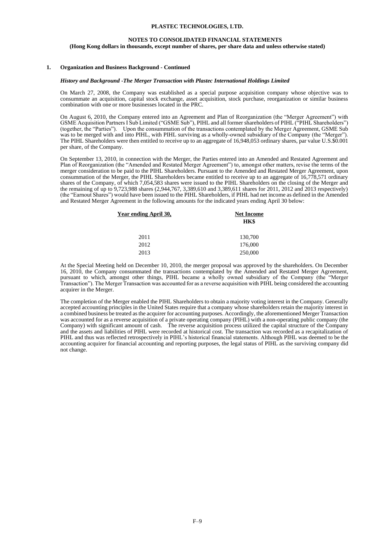#### **NOTES TO CONSOLIDATED FINANCIAL STATEMENTS**

#### **(Hong Kong dollars in thousands, except number of shares, per share data and unless otherwise stated)**

#### **1. Organization and Business Background - Continued**

#### *History and Background -The Merger Transaction with Plastec International Holdings Limited*

On March 27, 2008, the Company was established as a special purpose acquisition company whose objective was to consummate an acquisition, capital stock exchange, asset acquisition, stock purchase, reorganization or similar business combination with one or more businesses located in the PRC.

On August 6, 2010, the Company entered into an Agreement and Plan of Reorganization (the "Merger Agreement") with GSME Acquisition Partners I Sub Limited ("GSME Sub"), PIHL and all former shareholders of PIHL ("PIHL Shareholders") (together, the "Parties"). Upon the consummation of the transactions contemplated by the Merger Agreement, GSME Sub was to be merged with and into PIHL, with PIHL surviving as a wholly-owned subsidiary of the Company (the "Merger"). The PIHL Shareholders were then entitled to receive up to an aggregate of 16,948,053 ordinary shares, par value U.S.\$0.001 per share, of the Company.

On September 13, 2010, in connection with the Merger, the Parties entered into an Amended and Restated Agreement and Plan of Reorganization (the "Amended and Restated Merger Agreement") to, amongst other matters, revise the terms of the merger consideration to be paid to the PIHL Shareholders. Pursuant to the Amended and Restated Merger Agreement, upon consummation of the Merger, the PIHL Shareholders became entitled to receive up to an aggregate of 16,778,571 ordinary shares of the Company, of which 7,054,583 shares were issued to the PIHL Shareholders on the closing of the Merger and the remaining of up to 9,723,988 shares (2,944,767, 3,389,610 and 3,389,611 shares for 2011, 2012 and 2013 respectively) (the "Earnout Shares") would have been issued to the PIHL Shareholders, if PIHL had net income as defined in the Amended and Restated Merger Agreement in the following amounts for the indicated years ending April 30 below:

| Year ending April 30, | <b>Net Income</b> |  |  |
|-----------------------|-------------------|--|--|
|                       | HK\$              |  |  |
| 2011                  | 130,700           |  |  |
| 2012                  | 176,000           |  |  |
| 2013                  | 250,000           |  |  |

At the Special Meeting held on December 10, 2010, the merger proposal was approved by the shareholders. On December 16, 2010, the Company consummated the transactions contemplated by the Amended and Restated Merger Agreement, pursuant to which, amongst other things, PIHL became a wholly owned subsidiary of the Company (the "Merger Transaction"). The Merger Transaction was accounted for as a reverse acquisition with PIHL being considered the accounting acquirer in the Merger.

The completion of the Merger enabled the PIHL Shareholders to obtain a majority voting interest in the Company. Generally accepted accounting principles in the United States require that a company whose shareholders retain the majority interest in a combined business be treated as the acquirer for accounting purposes. Accordingly, the aforementioned Merger Transaction was accounted for as a reverse acquisition of a private operating company (PIHL) with a non-operating public company (the Company) with significant amount of cash. The reverse acquisition process utilized the capital structure of the Company and the assets and liabilities of PIHL were recorded at historical cost. The transaction was recorded as a recapitalization of PIHL and thus was reflected retrospectively in PIHL's historical financial statements. Although PIHL was deemed to be the accounting acquirer for financial accounting and reporting purposes, the legal status of PIHL as the surviving company did not change.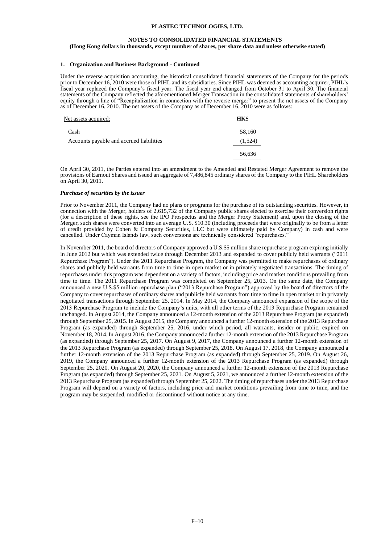### **NOTES TO CONSOLIDATED FINANCIAL STATEMENTS**

#### **(Hong Kong dollars in thousands, except number of shares, per share data and unless otherwise stated)**

### **1. Organization and Business Background - Continued**

Under the reverse acquisition accounting, the historical consolidated financial statements of the Company for the periods prior to December 16, 2010 were those of PIHL and its subsidiaries. Since PIHL was deemed as accounting acquirer, PIHL's fiscal year replaced the Company's fiscal year. The fiscal year end changed from October 31 to April 30. The financial statements of the Company reflected the aforementioned Merger Transaction in the consolidated statements of shareholders' equity through a line of "Recapitalization in connection with the reverse merger" to present the net assets of the Company as of December 16, 2010. The net assets of the Company as of December 16, 2010 were as follows:

| Net assets acquired:                     | HK\$    |
|------------------------------------------|---------|
| Cash                                     | 58,160  |
| Accounts payable and accrued liabilities | (1,524) |
|                                          | 56,636  |

On April 30, 2011, the Parties entered into an amendment to the Amended and Restated Merger Agreement to remove the provisions of Earnout Shares and issued an aggregate of 7,486,845 ordinary shares of the Company to the PIHL Shareholders on April 30, 2011.

#### *Purchase of securities by the issuer*

Prior to November 2011, the Company had no plans or programs for the purchase of its outstanding securities. However, in connection with the Merger, holders of 2,615,732 of the Company public shares elected to exercise their conversion rights (for a description of these rights, see the IPO Prospectus and the Merger Proxy Statement) and, upon the closing of the Merger, such shares were converted into an average U.S. \$10.30 (including proceeds that were originally to be from a letter of credit provided by Cohen & Company Securities, LLC but were ultimately paid by Company) in cash and were cancelled. Under Cayman Islands law, such conversions are technically considered "repurchases."

In November 2011, the board of directors of Company approved a U.S.\$5 million share repurchase program expiring initially in June 2012 but which was extended twice through December 2013 and expanded to cover publicly held warrants ("2011 Repurchase Program"). Under the 2011 Repurchase Program, the Company was permitted to make repurchases of ordinary shares and publicly held warrants from time to time in open market or in privately negotiated transactions. The timing of repurchases under this program was dependent on a variety of factors, including price and market conditions prevailing from time to time. The 2011 Repurchase Program was completed on September 25, 2013. On the same date, the Company announced a new U.S.\$5 million repurchase plan ("2013 Repurchase Program") approved by the board of directors of the Company to cover repurchases of ordinary shares and publicly held warrants from time to time in open market or in privately negotiated transactions through September 25, 2014. In May 2014, the Company announced expansion of the scope of the 2013 Repurchase Program to include the Company's units, with all other terms of the 2013 Repurchase Program remained unchanged. In August 2014, the Company announced a 12-month extension of the 2013 Repurchase Program (as expanded) through September 25, 2015. In August 2015, the Company announced a further 12-month extension of the 2013 Repurchase Program (as expanded) through September 25, 2016, under which period, all warrants, insider or public, expired on November 18, 2014. In August 2016, the Company announced a further 12-month extension of the 2013 Repurchase Program (as expanded) through September 25, 2017. On August 9, 2017, the Company announced a further 12-month extension of the 2013 Repurchase Program (as expanded) through September 25, 2018. On August 17, 2018, the Company announced a further 12-month extension of the 2013 Repurchase Program (as expanded) through September 25, 2019. On August 26, 2019, the Company announced a further 12-month extension of the 2013 Repurchase Program (as expanded) through September 25, 2020. On August 20, 2020, the Company announced a further 12-month extension of the 2013 Repurchase Program (as expanded) through September 25, 2021. On August 5, 2021, we announced a further 12-month extension of the 2013 Repurchase Program (as expanded) through September 25, 2022. The timing of repurchases under the 2013 Repurchase Program will depend on a variety of factors, including price and market conditions prevailing from time to time, and the program may be suspended, modified or discontinued without notice at any time.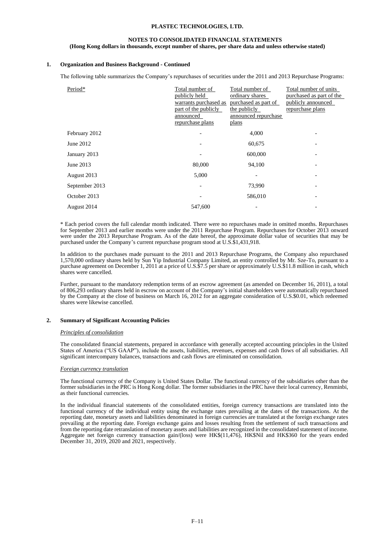### **NOTES TO CONSOLIDATED FINANCIAL STATEMENTS**

#### **(Hong Kong dollars in thousands, except number of shares, per share data and unless otherwise stated)**

### **1. Organization and Business Background - Continued**

The following table summarizes the Company's repurchases of securities under the 2011 and 2013 Repurchase Programs:

| Period*        | Total number of<br>publicly held<br>warrants purchased as<br>part of the publicly<br>announced<br>repurchase plans | Total number of<br>ordinary shares<br>purchased as part of<br>the publicly<br>announced repurchase<br>plans | Total number of units<br>purchased as part of the<br>publicly announced<br>repurchase plans |
|----------------|--------------------------------------------------------------------------------------------------------------------|-------------------------------------------------------------------------------------------------------------|---------------------------------------------------------------------------------------------|
| February 2012  | $\overline{\phantom{a}}$                                                                                           | 4,000                                                                                                       |                                                                                             |
| June 2012      |                                                                                                                    | 60,675                                                                                                      |                                                                                             |
| January 2013   |                                                                                                                    | 600,000                                                                                                     |                                                                                             |
| June 2013      | 80,000                                                                                                             | 94,100                                                                                                      |                                                                                             |
| August 2013    | 5,000                                                                                                              |                                                                                                             |                                                                                             |
| September 2013 | $\qquad \qquad$                                                                                                    | 73,990                                                                                                      |                                                                                             |
| October 2013   |                                                                                                                    | 586,010                                                                                                     |                                                                                             |
| August 2014    | 547,600                                                                                                            |                                                                                                             |                                                                                             |

\* Each period covers the full calendar month indicated. There were no repurchases made in omitted months. Repurchases for September 2013 and earlier months were under the 2011 Repurchase Program. Repurchases for October 2013 onward were under the 2013 Repurchase Program. As of the date hereof, the approximate dollar value of securities that may be purchased under the Company's current repurchase program stood at U.S.\$1,431,918.

In addition to the purchases made pursuant to the 2011 and 2013 Repurchase Programs, the Company also repurchased 1,570,000 ordinary shares held by Sun Yip Industrial Company Limited, an entity controlled by Mr. Sze-To, pursuant to a purchase agreement on December 1, 2011 at a price of U.S.\$7.5 per share or approximately U.S.\$11.8 million in cash, which shares were cancelled.

Further, pursuant to the mandatory redemption terms of an escrow agreement (as amended on December 16, 2011), a total of 806,293 ordinary shares held in escrow on account of the Company's initial shareholders were automatically repurchased by the Company at the close of business on March 16, 2012 for an aggregate consideration of U.S.\$0.01, which redeemed shares were likewise cancelled.

#### **2. Summary of Significant Accounting Policies**

#### *Principles of consolidation*

The consolidated financial statements, prepared in accordance with generally accepted accounting principles in the United States of America ("US GAAP"), include the assets, liabilities, revenues, expenses and cash flows of all subsidiaries. All significant intercompany balances, transactions and cash flows are eliminated on consolidation.

#### *Foreign currency translation*

The functional currency of the Company is United States Dollar. The functional currency of the subsidiaries other than the former subsidiaries in the PRC is Hong Kong dollar. The former subsidiaries in the PRC have their local currency, Renminbi, as their functional currencies.

In the individual financial statements of the consolidated entities, foreign currency transactions are translated into the functional currency of the individual entity using the exchange rates prevailing at the dates of the transactions. At the reporting date, monetary assets and liabilities denominated in foreign currencies are translated at the foreign exchange rates prevailing at the reporting date. Foreign exchange gains and losses resulting from the settlement of such transactions and from the reporting date retranslation of monetary assets and liabilities are recognized in the consolidated statement of income. Aggregate net foreign currency transaction gain/(loss) were HK\$(11,476), HK\$Nil and HK\$360 for the years ended December 31, 2019, 2020 and 2021, respectively.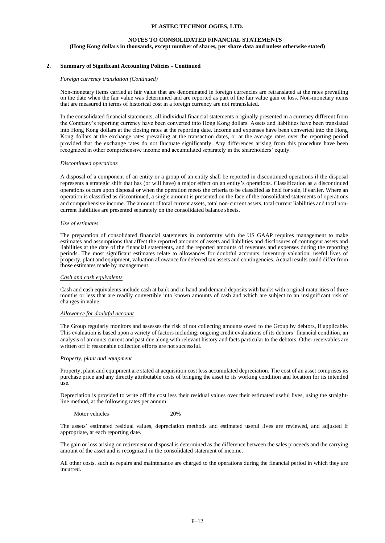### **NOTES TO CONSOLIDATED FINANCIAL STATEMENTS**

**(Hong Kong dollars in thousands, except number of shares, per share data and unless otherwise stated)**

### **2. Summary of Significant Accounting Policies - Continued**

#### *Foreign currency translation (Continued)*

Non-monetary items carried at fair value that are denominated in foreign currencies are retranslated at the rates prevailing on the date when the fair value was determined and are reported as part of the fair value gain or loss. Non-monetary items that are measured in terms of historical cost in a foreign currency are not retranslated.

In the consolidated financial statements, all individual financial statements originally presented in a currency different from the Company's reporting currency have been converted into Hong Kong dollars. Assets and liabilities have been translated into Hong Kong dollars at the closing rates at the reporting date. Income and expenses have been converted into the Hong Kong dollars at the exchange rates prevailing at the transaction dates, or at the average rates over the reporting period provided that the exchange rates do not fluctuate significantly. Any differences arising from this procedure have been recognized in other comprehensive income and accumulated separately in the shareholders' equity.

#### *Discontinued operations*

A disposal of a component of an entity or a group of an entity shall be reported in discontinued operations if the disposal represents a strategic shift that has (or will have) a major effect on an entity's operations. Classification as a discontinued operations occurs upon disposal or when the operation meets the criteria to be classified as held for sale, if earlier. Where an operation is classified as discontinued, a single amount is presented on the face of the consolidated statements of operations and comprehensive income. The amount of total current assets, total non-current assets, total current liabilities and total noncurrent liabilities are presented separately on the consolidated balance sheets.

#### *Use of estimates*

The preparation of consolidated financial statements in conformity with the US GAAP requires management to make estimates and assumptions that affect the reported amounts of assets and liabilities and disclosures of contingent assets and liabilities at the date of the financial statements, and the reported amounts of revenues and expenses during the reporting periods. The most significant estimates relate to allowances for doubtful accounts, inventory valuation, useful lives of property, plant and equipment, valuation allowance for deferred tax assets and contingencies. Actual results could differ from those estimates made by management.

#### *Cash and cash equivalents*

Cash and cash equivalents include cash at bank and in hand and demand deposits with banks with original maturities of three months or less that are readily convertible into known amounts of cash and which are subject to an insignificant risk of changes in value.

### *Allowance for doubtful account*

The Group regularly monitors and assesses the risk of not collecting amounts owed to the Group by debtors, if applicable. This evaluation is based upon a variety of factors including: ongoing credit evaluations of its debtors' financial condition, an analysis of amounts current and past due along with relevant history and facts particular to the debtors. Other receivables are written off if reasonable collection efforts are not successful.

#### *Property, plant and equipment*

Property, plant and equipment are stated at acquisition cost less accumulated depreciation. The cost of an asset comprises its purchase price and any directly attributable costs of bringing the asset to its working condition and location for its intended use.

Depreciation is provided to write off the cost less their residual values over their estimated useful lives, using the straightline method, at the following rates per annum:

Motor vehicles 20%

The assets' estimated residual values, depreciation methods and estimated useful lives are reviewed, and adjusted if appropriate, at each reporting date.

The gain or loss arising on retirement or disposal is determined as the difference between the sales proceeds and the carrying amount of the asset and is recognized in the consolidated statement of income.

All other costs, such as repairs and maintenance are charged to the operations during the financial period in which they are incurred.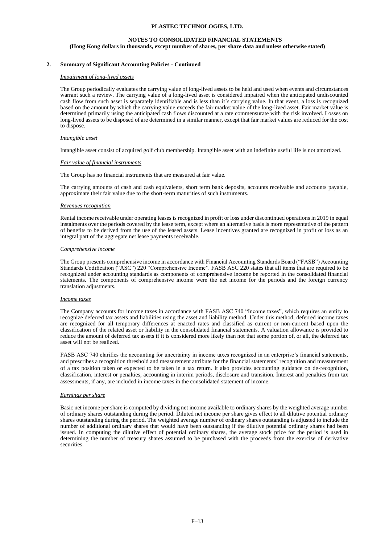### **NOTES TO CONSOLIDATED FINANCIAL STATEMENTS (Hong Kong dollars in thousands, except number of shares, per share data and unless otherwise stated)**

### **2. Summary of Significant Accounting Policies - Continued**

#### *Impairment of long-lived assets*

The Group periodically evaluates the carrying value of long-lived assets to be held and used when events and circumstances warrant such a review. The carrying value of a long-lived asset is considered impaired when the anticipated undiscounted cash flow from such asset is separately identifiable and is less than it's carrying value. In that event, a loss is recognized based on the amount by which the carrying value exceeds the fair market value of the long-lived asset. Fair market value is determined primarily using the anticipated cash flows discounted at a rate commensurate with the risk involved. Losses on long-lived assets to be disposed of are determined in a similar manner, except that fair market values are reduced for the cost to dispose.

#### *Intangible asset*

Intangible asset consist of acquired golf club membership. Intangible asset with an indefinite useful life is not amortized.

#### *Fair value of financial instruments*

The Group has no financial instruments that are measured at fair value.

The carrying amounts of cash and cash equivalents, short term bank deposits, accounts receivable and accounts payable, approximate their fair value due to the short-term maturities of such instruments.

#### *Revenues recognition*

Rental income receivable under operating leases is recognized in profit or loss under discontinued operations in 2019 in equal instalments over the periods covered by the lease term, except where an alternative basis is more representative of the pattern of benefits to be derived from the use of the leased assets. Lease incentives granted are recognized in profit or loss as an integral part of the aggregate net lease payments receivable.

#### *Comprehensive income*

The Group presents comprehensive income in accordance with Financial Accounting Standards Board ("FASB") Accounting Standards Codification ("ASC") 220 "Comprehensive Income". FASB ASC 220 states that all items that are required to be recognized under accounting standards as components of comprehensive income be reported in the consolidated financial statements. The components of comprehensive income were the net income for the periods and the foreign currency translation adjustments.

#### *Income taxes*

The Company accounts for income taxes in accordance with FASB ASC 740 "Income taxes", which requires an entity to recognize deferred tax assets and liabilities using the asset and liability method. Under this method, deferred income taxes are recognized for all temporary differences at enacted rates and classified as current or non-current based upon the classification of the related asset or liability in the consolidated financial statements. A valuation allowance is provided to reduce the amount of deferred tax assets if it is considered more likely than not that some portion of, or all, the deferred tax asset will not be realized.

FASB ASC 740 clarifies the accounting for uncertainty in income taxes recognized in an enterprise's financial statements, and prescribes a recognition threshold and measurement attribute for the financial statements' recognition and measurement of a tax position taken or expected to be taken in a tax return. It also provides accounting guidance on de-recognition, classification, interest or penalties, accounting in interim periods, disclosure and transition. Interest and penalties from tax assessments, if any, are included in income taxes in the consolidated statement of income.

#### *Earnings per share*

Basic net income per share is computed by dividing net income available to ordinary shares by the weighted average number of ordinary shares outstanding during the period. Diluted net income per share gives effect to all dilutive potential ordinary shares outstanding during the period. The weighted average number of ordinary shares outstanding is adjusted to include the number of additional ordinary shares that would have been outstanding if the dilutive potential ordinary shares had been issued. In computing the dilutive effect of potential ordinary shares, the average stock price for the period is used in determining the number of treasury shares assumed to be purchased with the proceeds from the exercise of derivative securities.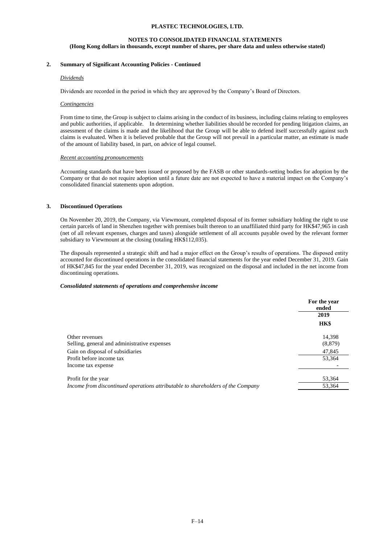### **NOTES TO CONSOLIDATED FINANCIAL STATEMENTS (Hong Kong dollars in thousands, except number of shares, per share data and unless otherwise stated)**

### **2. Summary of Significant Accounting Policies - Continued**

### *Dividends*

Dividends are recorded in the period in which they are approved by the Company's Board of Directors.

### *Contingencies*

From time to time, the Group is subject to claims arising in the conduct of its business, including claims relating to employees and public authorities, if applicable. In determining whether liabilities should be recorded for pending litigation claims, an assessment of the claims is made and the likelihood that the Group will be able to defend itself successfully against such claims is evaluated. When it is believed probable that the Group will not prevail in a particular matter, an estimate is made of the amount of liability based, in part, on advice of legal counsel.

#### *Recent accounting pronouncements*

Accounting standards that have been issued or proposed by the FASB or other standards-setting bodies for adoption by the Company or that do not require adoption until a future date are not expected to have a material impact on the Company's consolidated financial statements upon adoption.

### **3. Discontinued Operations**

On November 20, 2019, the Company, via Viewmount, completed disposal of its former subsidiary holding the right to use certain parcels of land in Shenzhen together with premises built thereon to an unaffiliated third party for HK\$47,965 in cash (net of all relevant expenses, charges and taxes) alongside settlement of all accounts payable owed by the relevant former subsidiary to Viewmount at the closing (totaling HK\$112,035).

The disposals represented a strategic shift and had a major effect on the Group's results of operations. The disposed entity accounted for discontinued operations in the consolidated financial statements for the year ended December 31, 2019. Gain of HK\$47,845 for the year ended December 31, 2019, was recognized on the disposal and included in the net income from discontinuing operations.

### *Consolidated statements of operations and comprehensive income*

|                                                                                 | For the year<br>ended |
|---------------------------------------------------------------------------------|-----------------------|
|                                                                                 | 2019                  |
|                                                                                 | HK\$                  |
| Other revenues                                                                  | 14,398                |
| Selling, general and administrative expenses                                    | (8, 879)              |
| Gain on disposal of subsidiaries                                                | 47,845                |
| Profit before income tax                                                        | 53,364                |
| Income tax expense                                                              |                       |
| Profit for the year                                                             | 53,364                |
| Income from discontinued operations attributable to shareholders of the Company | 53,364                |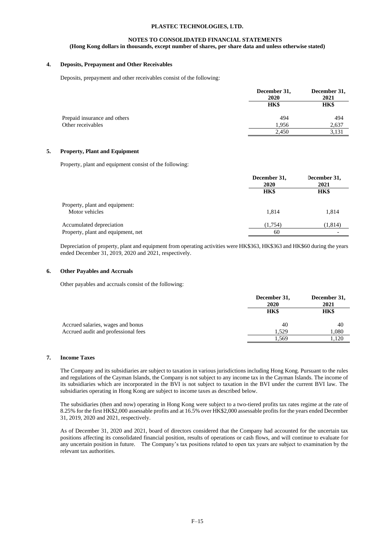### **NOTES TO CONSOLIDATED FINANCIAL STATEMENTS**

### **(Hong Kong dollars in thousands, except number of shares, per share data and unless otherwise stated)**

### **4. Deposits, Prepayment and Other Receivables**

Deposits, prepayment and other receivables consist of the following:

|                              | December 31,<br>2020 | December 31,<br>2021 |  |
|------------------------------|----------------------|----------------------|--|
|                              | HK\$                 | HK\$                 |  |
| Prepaid insurance and others | 494                  | 494                  |  |
| Other receivables            | 1,956                | 2,637                |  |
|                              | 2.450                | 3,131                |  |
|                              |                      |                      |  |

### **5. Property, Plant and Equipment**

Property, plant and equipment consist of the following:

|                                                  | December 31,<br>2020 | December 31,<br>2021 |  |
|--------------------------------------------------|----------------------|----------------------|--|
|                                                  | HK\$                 | <b>HK\$</b>          |  |
| Property, plant and equipment:<br>Motor vehicles | 1.814                | 1.814                |  |
| Accumulated depreciation                         | (1.754)              | (1,814)              |  |
| Property, plant and equipment, net               | 60                   |                      |  |

Depreciation of property, plant and equipment from operating activities were HK\$363, HK\$363 and HK\$60 during the years ended December 31, 2019, 2020 and 2021, respectively.

### **6. Other Payables and Accruals**

Other payables and accruals consist of the following:

|                                     | December 31, | December 31,<br>2021 |  |
|-------------------------------------|--------------|----------------------|--|
|                                     | 2020         |                      |  |
|                                     | HK\$         | HK\$                 |  |
| Accrued salaries, wages and bonus   | 40           | 40                   |  |
| Accrued audit and professional fees | 1.529        | 1,080                |  |
|                                     | 1,569        | .120                 |  |

### **7. Income Taxes**

The Company and its subsidiaries are subject to taxation in various jurisdictions including Hong Kong. Pursuant to the rules and regulations of the Cayman Islands, the Company is not subject to any income tax in the Cayman Islands. The income of its subsidiaries which are incorporated in the BVI is not subject to taxation in the BVI under the current BVI law. The subsidiaries operating in Hong Kong are subject to income taxes as described below.

The subsidiaries (then and now) operating in Hong Kong were subject to a two-tiered profits tax rates regime at the rate of 8.25% for the first HK\$2,000 assessable profits and at 16.5% over HK\$2,000 assessable profits for the years ended December 31, 2019, 2020 and 2021, respectively.

As of December 31, 2020 and 2021, board of directors considered that the Company had accounted for the uncertain tax positions affecting its consolidated financial position, results of operations or cash flows, and will continue to evaluate for any uncertain position in future. The Company's tax positions related to open tax years are subject to examination by the relevant tax authorities.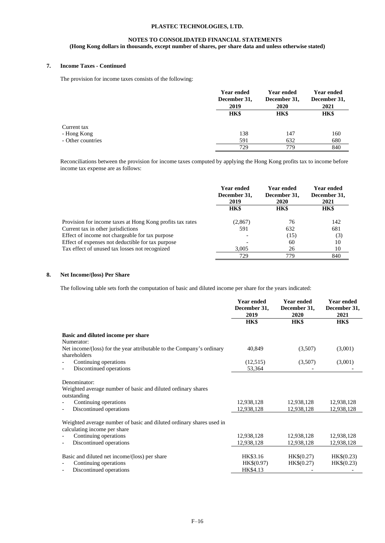# **NOTES TO CONSOLIDATED FINANCIAL STATEMENTS (Hong Kong dollars in thousands, except number of shares, per share data and unless otherwise stated)**

# **7. Income Taxes - Continued**

The provision for income taxes consists of the following:

|                   | <b>Year ended</b><br>December 31,<br>2019 | <b>Year ended</b><br>December 31,<br>2020 | <b>Year ended</b><br>December 31,<br>2021 |
|-------------------|-------------------------------------------|-------------------------------------------|-------------------------------------------|
|                   | HK\$                                      | <b>HK\$</b>                               | HK\$                                      |
| Current tax       |                                           |                                           |                                           |
| - Hong Kong       | 138                                       | 147                                       | 160                                       |
| - Other countries | 591                                       | 632                                       | 680                                       |
|                   | 729                                       | 779                                       | 840                                       |

Reconciliations between the provision for income taxes computed by applying the Hong Kong profits tax to income before income tax expense are as follows:

|                                                           | <b>Year ended</b><br>December 31,<br>2019 | <b>Year ended</b><br>December 31,<br><b>2020</b> | Year ended<br>December 31,<br>2021 |
|-----------------------------------------------------------|-------------------------------------------|--------------------------------------------------|------------------------------------|
|                                                           | HK\$                                      | HK\$                                             | HK\$                               |
| Provision for income taxes at Hong Kong profits tax rates | (2,867)                                   | 76                                               | 142                                |
| Current tax in other jurisdictions                        | 591                                       | 632                                              | 681                                |
| Effect of income not chargeable for tax purpose           | $\overline{\phantom{a}}$                  | (15)                                             | (3)                                |
| Effect of expenses not deductible for tax purpose         |                                           | 60                                               | 10                                 |
| Tax effect of unused tax losses not recognized            | 3,005                                     | 26                                               | 10                                 |
|                                                           | 729                                       | 779                                              | 840                                |

## **8. Net Income/(loss) Per Share**

The following table sets forth the computation of basic and diluted income per share for the years indicated:

|                                                                                                                                                 | <b>Year ended</b><br>December 31,<br>2019 | <b>Year ended</b><br>December 31,<br>2020 | <b>Year ended</b><br>December 31,<br>2021 |
|-------------------------------------------------------------------------------------------------------------------------------------------------|-------------------------------------------|-------------------------------------------|-------------------------------------------|
|                                                                                                                                                 | HK\$                                      | <b>HK\$</b>                               | <b>HK\$</b>                               |
| Basic and diluted income per share<br>Numerator:                                                                                                |                                           |                                           |                                           |
| Net income/(loss) for the year attributable to the Company's ordinary<br>shareholders                                                           | 40,849                                    | (3,507)                                   | (3,001)                                   |
| Continuing operations                                                                                                                           | (12,515)                                  | (3,507)                                   | (3,001)                                   |
| Discontinued operations                                                                                                                         | 53,364                                    |                                           |                                           |
| Denominator:<br>Weighted average number of basic and diluted ordinary shares<br>outstanding<br>Continuing operations<br>Discontinued operations | 12,938,128<br>12,938,128                  | 12,938,128<br>12,938,128                  | 12,938,128<br>12,938,128                  |
| Weighted average number of basic and diluted ordinary shares used in<br>calculating income per share                                            |                                           |                                           |                                           |
| Continuing operations                                                                                                                           | 12,938,128                                | 12,938,128                                | 12,938,128                                |
| Discontinued operations                                                                                                                         | 12,938,128                                | 12,938,128                                | 12,938,128                                |
| Basic and diluted net income/(loss) per share<br>Continuing operations<br>Discontinued operations                                               | HK\$3.16<br>HK\$(0.97)<br>HK\$4.13        | HK\$(0.27)<br>HK\$(0.27)                  | HK\$(0.23)<br>HK\$(0.23)                  |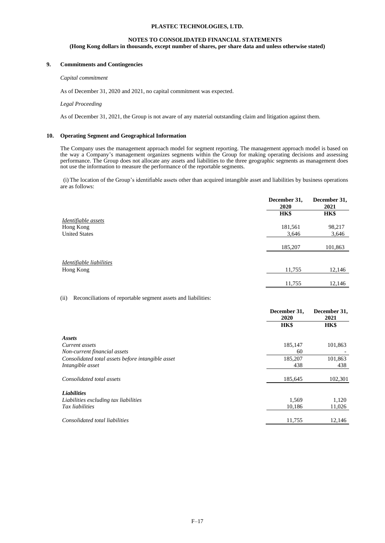# **NOTES TO CONSOLIDATED FINANCIAL STATEMENTS (Hong Kong dollars in thousands, except number of shares, per share data and unless otherwise stated)**

# **9. Commitments and Contingencies**

### *Capital commitment*

As of December 31, 2020 and 2021, no capital commitment was expected.

#### *Legal Proceeding*

As of December 31, 2021, the Group is not aware of any material outstanding claim and litigation against them.

### **10. Operating Segment and Geographical Information**

The Company uses the management approach model for segment reporting. The management approach model is based on the way a Company's management organizes segments within the Group for making operating decisions and assessing performance. The Group does not allocate any assets and liabilities to the three geographic segments as management does not use the information to measure the performance of the reportable segments.

(i) The location of the Group's identifiable assets other than acquired intangible asset and liabilities by business operations are as follows:

|                          | December 31,<br>2020 | December 31,<br>2021 |
|--------------------------|----------------------|----------------------|
|                          | HK\$                 | <b>HK\$</b>          |
| Identifiable assets      |                      |                      |
| Hong Kong                | 181,561              | 98,217               |
| <b>United States</b>     | 3,646                | 3,646                |
|                          | 185,207              | 101,863              |
| Identifiable liabilities |                      |                      |
| Hong Kong                | 11,755               | 12,146               |
|                          |                      |                      |
|                          | 11,755               | 12,146               |

(ii) Reconciliations of reportable segment assets and liabilities:

|                                                   | December 31,<br>2020 |             |
|---------------------------------------------------|----------------------|-------------|
|                                                   | <b>HK\$</b>          | <b>HK\$</b> |
| Assets                                            |                      |             |
| Current assets                                    | 185,147              | 101,863     |
| Non-current financial assets                      | 60                   |             |
| Consolidated total assets before intangible asset | 185,207              | 101,863     |
| Intangible asset                                  | 438                  | 438         |
| Consolidated total assets                         | 185,645              | 102,301     |
| <b>Liabilities</b>                                |                      |             |
| Liabilities excluding tax liabilities             | 1,569                | 1,120       |
| Tax liabilities                                   | 10,186               | 11,026      |
|                                                   |                      |             |
| Consolidated total liabilities                    | 11,755               | 12,146      |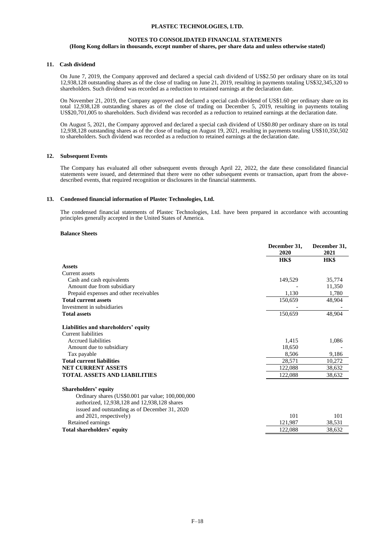### **NOTES TO CONSOLIDATED FINANCIAL STATEMENTS**

### **(Hong Kong dollars in thousands, except number of shares, per share data and unless otherwise stated)**

#### **11. Cash dividend**

On June 7, 2019, the Company approved and declared a special cash dividend of US\$2.50 per ordinary share on its total 12,938,128 outstanding shares as of the close of trading on June 21, 2019, resulting in payments totaling US\$32,345,320 to shareholders. Such dividend was recorded as a reduction to retained earnings at the declaration date.

On November 21, 2019, the Company approved and declared a special cash dividend of US\$1.60 per ordinary share on its total 12,938,128 outstanding shares as of the close of trading on December 5, 2019, resulting in payments totaling US\$20,701,005 to shareholders. Such dividend was recorded as a reduction to retained earnings at the declaration date.

On August 5, 2021, the Company approved and declared a special cash dividend of US\$0.80 per ordinary share on its total 12,938,128 outstanding shares as of the close of trading on August 19, 2021, resulting in payments totaling US\$10,350,502 to shareholders. Such dividend was recorded as a reduction to retained earnings at the declaration date.

### **12. Subsequent Events**

The Company has evaluated all other subsequent events through April 22, 2022, the date these consolidated financial statements were issued, and determined that there were no other subsequent events or transaction, apart from the abovedescribed events, that required recognition or disclosures in the financial statements.

#### **13. Condensed financial information of Plastec Technologies, Ltd.**

The condensed financial statements of Plastec Technologies, Ltd. have been prepared in accordance with accounting principles generally accepted in the United States of America.

#### **Balance Sheets**

|                                                   | December 31,<br>2020 | December 31,<br>2021 |
|---------------------------------------------------|----------------------|----------------------|
|                                                   | <b>HK\$</b>          | <b>HK\$</b>          |
| <b>Assets</b>                                     |                      |                      |
| Current assets                                    |                      |                      |
| Cash and cash equivalents                         | 149,529              | 35,774               |
| Amount due from subsidiary                        |                      | 11,350               |
| Prepaid expenses and other receivables            | 1.130                | 1,780                |
| <b>Total current assets</b>                       | 150,659              | 48,904               |
| Investment in subsidiaries                        |                      |                      |
| <b>Total assets</b>                               | 150,659              | 48,904               |
| Liabilities and shareholders' equity              |                      |                      |
| Current liabilities                               |                      |                      |
| Accrued liabilities                               | 1,415                | 1,086                |
| Amount due to subsidiary                          | 18.650               |                      |
| Tax payable                                       | 8,506                | 9,186                |
| <b>Total current liabilities</b>                  | 28,571               | 10,272               |
| <b>NET CURRENT ASSETS</b>                         | 122,088              | 38,632               |
| <b>TOTAL ASSETS AND LIABILITIES</b>               | 122,088              | 38,632               |
| <b>Shareholders' equity</b>                       |                      |                      |
| Ordinary shares (US\$0.001 par value; 100,000,000 |                      |                      |
| authorized, 12,938,128 and 12,938,128 shares      |                      |                      |
| issued and outstanding as of December 31, 2020    |                      |                      |
| and 2021, respectively)                           | 101                  | 101                  |
| Retained earnings                                 | 121,987              | 38,531               |
| Total shareholders' equity                        | 122,088              | 38,632               |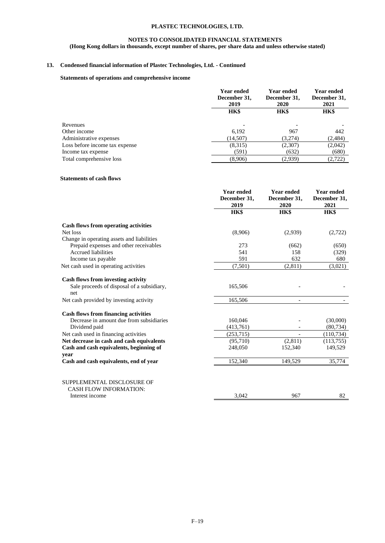## **NOTES TO CONSOLIDATED FINANCIAL STATEMENTS**

**(Hong Kong dollars in thousands, except number of shares, per share data and unless otherwise stated)**

# **13. Condensed financial information of Plastec Technologies, Ltd. - Continued**

# **Statements of operations and comprehensive income**

|                                | <b>Year ended</b><br>December 31,<br>2019 | Year ended<br>December 31,<br><b>2020</b> | Year ended<br>December 31,<br>2021 |
|--------------------------------|-------------------------------------------|-------------------------------------------|------------------------------------|
|                                | HK\$                                      | HK\$                                      | HK\$                               |
| Revenues                       |                                           |                                           |                                    |
| Other income                   | 6,192                                     | 967                                       | 442                                |
| Administrative expenses        | (14,507)                                  | (3,274)                                   | (2, 484)                           |
| Loss before income tax expense | (8,315)                                   | (2,307)                                   | (2,042)                            |
| Income tax expense             | (591)                                     | (632)                                     | (680)                              |
| Total comprehensive loss       | (8,906)                                   | (2,939)                                   | (2,722)                            |

### **Statements of cash flows**

|                                             | <b>Year ended</b><br>December 31,<br>2019 | <b>Year ended</b><br>December 31,<br>2020 | <b>Year ended</b><br>December 31,<br>2021<br>HK\$ |
|---------------------------------------------|-------------------------------------------|-------------------------------------------|---------------------------------------------------|
|                                             |                                           |                                           |                                                   |
|                                             | HK\$                                      | HK\$                                      |                                                   |
| <b>Cash flows from operating activities</b> |                                           |                                           |                                                   |
| Net loss                                    | (8,906)                                   | (2,939)                                   | (2,722)                                           |
| Change in operating assets and liabilities  |                                           |                                           |                                                   |
| Prepaid expenses and other receivables      | 273                                       | (662)                                     | (650)                                             |
| <b>Accrued liabilities</b>                  | 541                                       | 158                                       | (329)                                             |
| Income tax payable                          | 591                                       | 632                                       | 680                                               |
| Net cash used in operating activities       | (7,501)                                   | (2,811)                                   | (3,021)                                           |
| Cash flows from investing activity          |                                           |                                           |                                                   |
| Sale proceeds of disposal of a subsidiary,  | 165,506                                   |                                           |                                                   |
| net                                         |                                           |                                           |                                                   |
| Net cash provided by investing activity     | 165,506                                   |                                           |                                                   |
| <b>Cash flows from financing activities</b> |                                           |                                           |                                                   |
| Decrease in amount due from subsidiaries    | 160,046                                   |                                           | (30,000)                                          |
| Dividend paid                               | (413,761)                                 |                                           | (80, 734)                                         |
| Net cash used in financing activities       | (253,715)                                 |                                           | (110, 734)                                        |
| Net decrease in cash and cash equivalents   | (95,710)                                  | (2,811)                                   | (113,755)                                         |
| Cash and cash equivalents, beginning of     | 248,050                                   | 152,340                                   | 149,529                                           |
| year                                        |                                           |                                           |                                                   |
| Cash and cash equivalents, end of year      | 152,340                                   | 149,529                                   | 35,774                                            |
|                                             |                                           |                                           |                                                   |
| SUPPLEMENTAL DISCLOSURE OF                  |                                           |                                           |                                                   |
| <b>CASH FLOW INFORMATION:</b>               |                                           |                                           |                                                   |
| Interest income                             | 3,042                                     | 967                                       | 82                                                |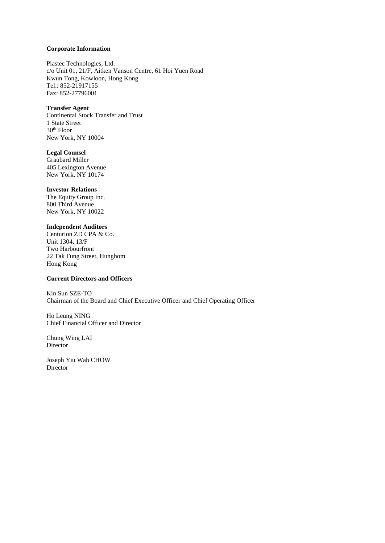## **Corporate Information**

Plastec Technologies, Ltd. c/o Unit 01, 21/F, Aitken Vanson Centre, 61 Hoi Yuen Road Kwun Tong, Kowloon, Hong Kong Tel.: 852-21917155 Fax: 852-27796001

### **Transfer Agent**

Continental Stock Transfer and Trust 1 State Street 30th Floor New York, NY 10004

# **Legal Counsel**

Graubard Miller 405 Lexington Avenue New York, NY 10174

### **Investor Relations**

The Equity Group Inc. 800 Third Avenue New York, NY 10022

# **Independent Auditors**

Centurion ZD CPA & Co. Unit 1304, 13/F Two Harbourfront 22 Tak Fung Street, Hunghom Hong Kong

# **Current Directors and Officers**

Kin Sun SZE-TO Chairman of the Board and Chief Executive Officer and Chief Operating Officer

Ho Leung NING Chief Financial Officer and Director

Chung Wing LAI Director

Joseph Yiu Wah CHOW Director